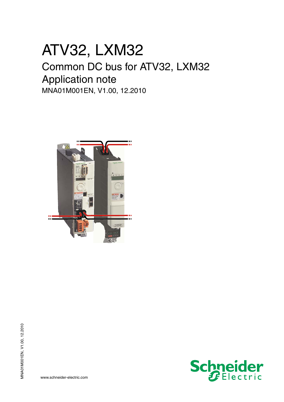## ATV32, LXM32 Common DC bus for ATV32, LXM32

Application note MNA01M001EN, V1.00, 12.2010



www.schneider-electric.com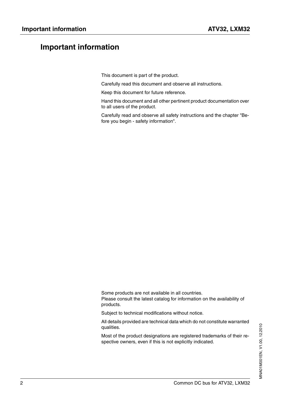#### <span id="page-1-0"></span>**Important information**

This document is part of the product.

Carefully read this document and observe all instructions.

Keep this document for future reference.

Hand this document and all other pertinent product documentation over to all users of the product.

Carefully read and observe all safety instructions and the chapter "Before you begin - safety information".

Some products are not available in all countries. Please consult the latest catalog for information on the availability of products.

Subject to technical modifications without notice.

All details provided are technical data which do not constitute warranted qualities.

Most of the product designations are registered trademarks of their respective owners, even if this is not explicitly indicated.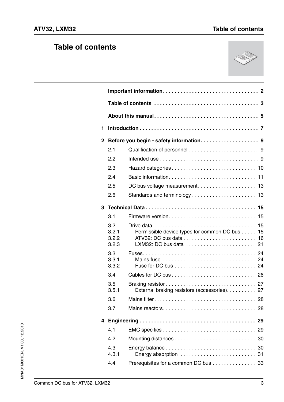### <span id="page-2-0"></span>**Table of contents**



| 1                  |                                |                                                                         |    |  |  |  |  |  |  |
|--------------------|--------------------------------|-------------------------------------------------------------------------|----|--|--|--|--|--|--|
| $\mathbf{2} \cdot$ |                                |                                                                         |    |  |  |  |  |  |  |
|                    | 2.1                            |                                                                         |    |  |  |  |  |  |  |
|                    | 2.2                            |                                                                         |    |  |  |  |  |  |  |
|                    | 2.3                            |                                                                         |    |  |  |  |  |  |  |
|                    | 2.4                            |                                                                         |    |  |  |  |  |  |  |
|                    | 2.5                            |                                                                         |    |  |  |  |  |  |  |
|                    | 2.6                            | Standards and terminology  13                                           |    |  |  |  |  |  |  |
| 3                  |                                |                                                                         |    |  |  |  |  |  |  |
|                    | 3.1                            |                                                                         |    |  |  |  |  |  |  |
|                    | 3.2<br>3.2.1<br>3.2.2<br>3.2.3 | Permissible device types for common DC bus 15<br>LXM32: DC bus data  21 |    |  |  |  |  |  |  |
|                    | 3.3<br>3.3.1<br>3.3.2          | Mains fuse  24                                                          |    |  |  |  |  |  |  |
|                    | 3.4                            |                                                                         |    |  |  |  |  |  |  |
|                    | 3.5<br>3.5.1                   | External braking resistors (accessories). 27                            |    |  |  |  |  |  |  |
|                    | 3.6                            |                                                                         |    |  |  |  |  |  |  |
|                    | 3.7                            |                                                                         |    |  |  |  |  |  |  |
| 4                  |                                |                                                                         | 29 |  |  |  |  |  |  |
|                    | 4.1                            |                                                                         | 29 |  |  |  |  |  |  |
|                    | 4.2                            |                                                                         | 30 |  |  |  |  |  |  |
|                    | 4.3<br>4.3.1                   | Energy absorption                                                       | 31 |  |  |  |  |  |  |
|                    | 4.4                            | Prerequisites for a common DC bus 33                                    |    |  |  |  |  |  |  |
|                    |                                |                                                                         |    |  |  |  |  |  |  |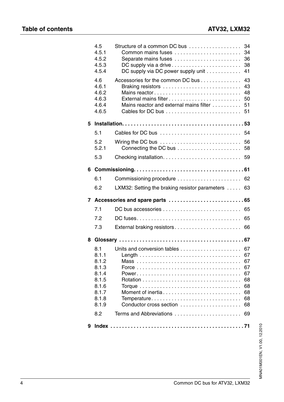|                         | 4.5<br>4.5.1<br>4.5.2<br>4.5.3<br>4.5.4                                                     | Structure of a common DC bus<br>Common mains fuses<br>Separate mains fuses<br>DC supply via a drive<br>DC supply via DC power supply unit | 34<br>34<br>36<br>38<br>41                               |
|-------------------------|---------------------------------------------------------------------------------------------|-------------------------------------------------------------------------------------------------------------------------------------------|----------------------------------------------------------|
|                         | 4.6<br>4.6.1<br>4.6.2<br>4.6.3<br>4.6.4<br>4.6.5                                            | Accessories for the common DC bus<br>Mains reactor and external mains filter                                                              | 43<br>43<br>48<br>50<br>51<br>51                         |
| 5                       |                                                                                             |                                                                                                                                           |                                                          |
|                         | 5.1                                                                                         |                                                                                                                                           |                                                          |
|                         | 5.2<br>5.2.1                                                                                | Connecting the DC bus                                                                                                                     | 58                                                       |
|                         | 5.3                                                                                         |                                                                                                                                           |                                                          |
|                         |                                                                                             |                                                                                                                                           |                                                          |
|                         | 6.1                                                                                         |                                                                                                                                           |                                                          |
|                         | 6.2                                                                                         | LXM32: Setting the braking resistor parameters                                                                                            | 63                                                       |
| $\overline{\mathbf{r}}$ |                                                                                             |                                                                                                                                           |                                                          |
|                         | 7.1                                                                                         |                                                                                                                                           | 65                                                       |
|                         | 7.2                                                                                         |                                                                                                                                           | 65                                                       |
|                         | 7.3                                                                                         | External braking resistors                                                                                                                | 66                                                       |
| 8                       |                                                                                             |                                                                                                                                           |                                                          |
|                         | 8.1<br>8.1.1<br>8.1.2<br>8.1.3<br>8.1.4<br>8.1.5<br>8.1.6<br>8.1.7<br>8.1.8<br>8.1.9<br>8.2 | Moment of inertia<br>Temperature<br>Conductor cross section<br>Terms and Abbreviations                                                    | 67<br>67<br>67<br>67<br>68<br>68<br>68<br>68<br>68<br>69 |
| 9                       |                                                                                             |                                                                                                                                           |                                                          |
|                         |                                                                                             |                                                                                                                                           |                                                          |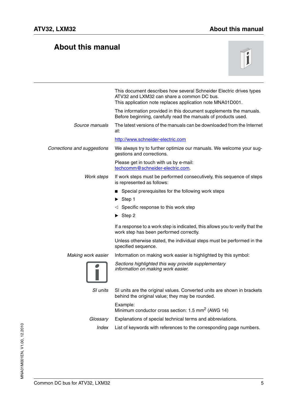### <span id="page-4-0"></span>**About this manual**



|                             | This document describes how several Schneider Electric drives types<br>ATV32 and LXM32 can share a common DC bus.<br>This application note replaces application note MNA01D001. |
|-----------------------------|---------------------------------------------------------------------------------------------------------------------------------------------------------------------------------|
|                             | The information provided in this document supplements the manuals.<br>Before beginning, carefully read the manuals of products used.                                            |
| Source manuals              | The latest versions of the manuals can be downloaded from the Internet<br>at:                                                                                                   |
|                             | http://www.schneider-electric.com                                                                                                                                               |
| Corrections and suggestions | We always try to further optimize our manuals. We welcome your sug-<br>gestions and corrections.                                                                                |
|                             | Please get in touch with us by e-mail:<br>techcomm@schneider-electric.com.                                                                                                      |
| Work steps                  | If work steps must be performed consecutively, this sequence of steps<br>is represented as follows:                                                                             |
|                             | Special prerequisites for the following work steps                                                                                                                              |
|                             | $\triangleright$ Step 1                                                                                                                                                         |
|                             | $\triangleleft$ Specific response to this work step                                                                                                                             |
|                             | $\triangleright$ Step 2                                                                                                                                                         |
|                             | If a response to a work step is indicated, this allows you to verify that the<br>work step has been performed correctly.                                                        |
|                             | Unless otherwise stated, the individual steps must be performed in the<br>specified sequence.                                                                                   |
| Making work easier          | Information on making work easier is highlighted by this symbol:                                                                                                                |
|                             | Sections highlighted this way provide supplementary<br>information on making work easier.                                                                                       |
| SI units                    | SI units are the original values. Converted units are shown in brackets<br>behind the original value; they may be rounded.                                                      |
|                             | Example:<br>Minimum conductor cross section: 1.5 mm <sup>2</sup> (AWG 14)                                                                                                       |
| Glossary                    | Explanations of special technical terms and abbreviations.                                                                                                                      |
| <b>Index</b>                | List of keywords with references to the corresponding page numbers.                                                                                                             |
|                             |                                                                                                                                                                                 |
|                             |                                                                                                                                                                                 |
|                             |                                                                                                                                                                                 |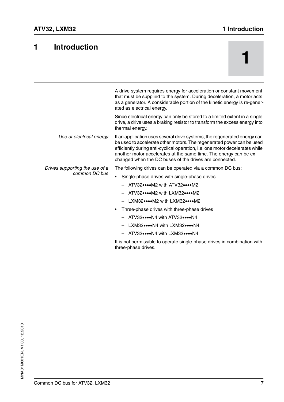#### <span id="page-6-0"></span>**1 Introduction**

**1**

|                                | A drive system requires energy for acceleration or constant movement<br>that must be supplied to the system. During deceleration, a motor acts<br>as a generator. A considerable portion of the kinetic energy is re-gener-<br>ated as electrical energy.                                                                                                        |
|--------------------------------|------------------------------------------------------------------------------------------------------------------------------------------------------------------------------------------------------------------------------------------------------------------------------------------------------------------------------------------------------------------|
|                                | Since electrical energy can only be stored to a limited extent in a single<br>drive, a drive uses a braking resistor to transform the excess energy into<br>thermal energy.                                                                                                                                                                                      |
| Use of electrical energy       | If an application uses several drive systems, the regenerated energy can<br>be used to accelerate other motors. The regenerated power can be used<br>efficiently during anti-cyclical operation, i.e. one motor decelerates while<br>another motor accelerates at the same time. The energy can be ex-<br>changed when the DC buses of the drives are connected. |
| Drives supporting the use of a | The following drives can be operated via a common DC bus:                                                                                                                                                                                                                                                                                                        |
| common DC bus                  | Single-phase drives with single-phase drives                                                                                                                                                                                                                                                                                                                     |
|                                | ATV32●●●●M2 with ATV32●●●●M2                                                                                                                                                                                                                                                                                                                                     |
|                                | ATV32●●●●M2 with LXM32●●●●M2                                                                                                                                                                                                                                                                                                                                     |
|                                | LXM32●●●●M2 with LXM32●●●●M2                                                                                                                                                                                                                                                                                                                                     |
|                                | Three-phase drives with three-phase drives                                                                                                                                                                                                                                                                                                                       |
|                                | - ATV32N4 with ATV32N4                                                                                                                                                                                                                                                                                                                                           |

- LXM32••••N4 with LXM32••••N4
- ATV32••••N4 with LXM32••••N4

It is not permissible to operate single-phase drives in combination with three-phase drives.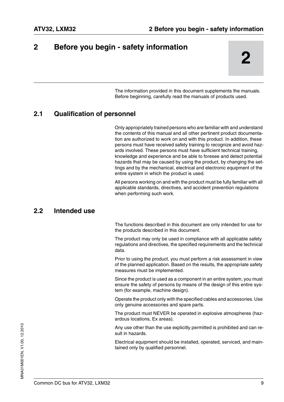#### <span id="page-8-0"></span>**2 2 Before you begin - safety information**

The information provided in this document supplements the manuals. Before beginning, carefully read the manuals of products used.

#### <span id="page-8-1"></span>**2.1 Qualification of personnel**

Only appropriately trained persons who are familiar with and understand the contents of this manual and all other pertinent product documentation are authorized to work on and with this product. In addition, these persons must have received safety training to recognize and avoid hazards involved. These persons must have sufficient technical training, knowledge and experience and be able to foresee and detect potential hazards that may be caused by using the product, by changing the settings and by the mechanical, electrical and electronic equipment of the entire system in which the product is used.

All persons working on and with the product must be fully familiar with all applicable standards, directives, and accident prevention regulations when performing such work.

#### <span id="page-8-2"></span>**2.2 Intended use**

The functions described in this document are only intended for use for the products described in this document.

The product may only be used in compliance with all applicable safety regulations and directives, the specified requirements and the technical data.

Prior to using the product, you must perform a risk assessment in view of the planned application. Based on the results, the appropriate safety measures must be implemented.

Since the product is used as a component in an entire system, you must ensure the safety of persons by means of the design of this entire system (for example, machine design).

Operate the product only with the specified cables and accessories. Use only genuine accessories and spare parts.

The product must NEVER be operated in explosive atmospheres (hazardous locations, Ex areas).

Any use other than the use explicitly permitted is prohibited and can result in hazards.

Electrical equipment should be installed, operated, serviced, and maintained only by qualified personnel.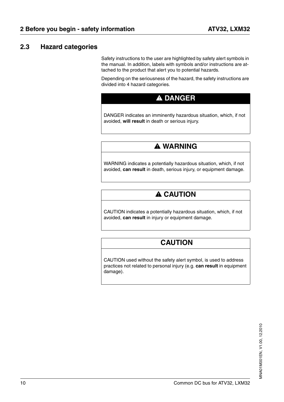#### <span id="page-9-0"></span>**2.3 Hazard categories**

Safety instructions to the user are highlighted by safety alert symbols in the manual. In addition, labels with symbols and/or instructions are attached to the product that alert you to potential hazards.

Depending on the seriousness of the hazard, the safety instructions are divided into 4 hazard categories.

#### **@ DANGER**

DANGER indicates an imminently hazardous situation, which, if not avoided, **will result** in death or serious injury.

#### **@ WARNING**

WARNING indicates a potentially hazardous situation, which, if not avoided, **can result** in death, serious injury, or equipment damage.

#### **@ CAUTION**

CAUTION indicates a potentially hazardous situation, which, if not avoided, **can result** in injury or equipment damage.

#### **CAUTION**

CAUTION used without the safety alert symbol, is used to address practices not related to personal injury (e.g. **can result** in equipment damage).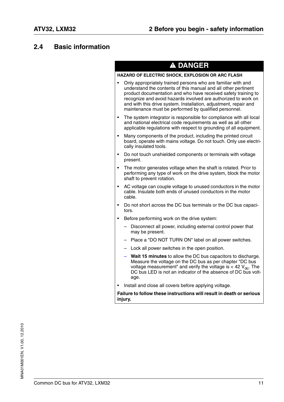#### <span id="page-10-0"></span>**2.4 Basic information**

|           | <b>A DANGER</b>                                                                                                                                                                                                                                                                                                                                                                                 |  |  |  |  |
|-----------|-------------------------------------------------------------------------------------------------------------------------------------------------------------------------------------------------------------------------------------------------------------------------------------------------------------------------------------------------------------------------------------------------|--|--|--|--|
|           | HAZARD OF ELECTRIC SHOCK, EXPLOSION OR ARC FLASH                                                                                                                                                                                                                                                                                                                                                |  |  |  |  |
|           | Only appropriately trained persons who are familiar with and<br>understand the contents of this manual and all other pertinent<br>product documentation and who have received safety training to<br>recognize and avoid hazards involved are authorized to work on<br>and with this drive system. Installation, adjustment, repair and<br>maintenance must be performed by qualified personnel. |  |  |  |  |
|           | The system integrator is responsible for compliance with all local<br>and national electrical code requirements as well as all other<br>applicable regulations with respect to grounding of all equipment.                                                                                                                                                                                      |  |  |  |  |
| $\bullet$ | Many components of the product, including the printed circuit<br>board, operate with mains voltage. Do not touch. Only use electri-<br>cally insulated tools.                                                                                                                                                                                                                                   |  |  |  |  |
|           | Do not touch unshielded components or terminals with voltage<br>present.                                                                                                                                                                                                                                                                                                                        |  |  |  |  |
| $\bullet$ | The motor generates voltage when the shaft is rotated. Prior to<br>performing any type of work on the drive system, block the motor<br>shaft to prevent rotation.                                                                                                                                                                                                                               |  |  |  |  |
| ٠         | AC voltage can couple voltage to unused conductors in the motor<br>cable. Insulate both ends of unused conductors in the motor<br>cable.                                                                                                                                                                                                                                                        |  |  |  |  |
| ٠         | Do not short across the DC bus terminals or the DC bus capaci-<br>tors.                                                                                                                                                                                                                                                                                                                         |  |  |  |  |
| ٠         | Before performing work on the drive system:                                                                                                                                                                                                                                                                                                                                                     |  |  |  |  |
|           | Disconnect all power, including external control power that<br>$\overline{\phantom{0}}$<br>may be present.                                                                                                                                                                                                                                                                                      |  |  |  |  |
|           | Place a "DO NOT TURN ON" label on all power switches.                                                                                                                                                                                                                                                                                                                                           |  |  |  |  |
|           | Lock all power switches in the open position.                                                                                                                                                                                                                                                                                                                                                   |  |  |  |  |
|           | Wait 15 minutes to allow the DC bus capacitors to discharge.<br>Measure the voltage on the DC bus as per chapter "DC bus<br>voltage measurement" and verify the voltage is $<$ 42 $V_{dc}$ . The<br>DC bus LED is not an indicator of the absence of DC bus volt-<br>age.                                                                                                                       |  |  |  |  |
|           | Install and close all covers before applying voltage.                                                                                                                                                                                                                                                                                                                                           |  |  |  |  |
|           | Failure to follow these instructions will result in death or serious<br>injury.                                                                                                                                                                                                                                                                                                                 |  |  |  |  |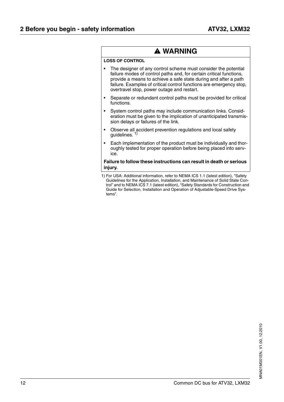#### **@ WARNING**

#### **LOSS OF CONTROL**

- The designer of any control scheme must consider the potential failure modes of control paths and, for certain critical functions, provide a means to achieve a safe state during and after a path failure. Examples of critical control functions are emergency stop, overtravel stop, power outage and restart.
- Separate or redundant control paths must be provided for critical functions.
- System control paths may include communication links. Consideration must be given to the implication of unanticipated transmission delays or failures of the link.
- Observe all accident prevention regulations and local safety guidelines.<sup>1)</sup>
- Each implementation of the product must be individually and thoroughly tested for proper operation before being placed into service.

#### **Failure to follow these instructions can result in death or serious injury.**

1) For USA: Additional information, refer to NEMA ICS 1.1 (latest edition), "Safety Guidelines for the Application, Installation, and Maintenance of Solid State Control" and to NEMA ICS 7.1 (latest edition), "Safety Standards for Construction and Guide for Selection, Installation and Operation of Adjustable-Speed Drive Systems".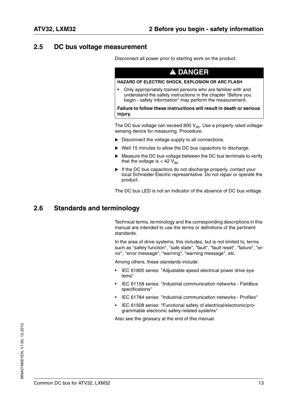#### <span id="page-12-0"></span>**2.5 DC bus voltage measurement**

Disconnect all power prior to starting work on the product.

#### **@ DANGER**

#### **HAZARD OF ELECTRIC SHOCK, EXPLOSION OR ARC FLASH**

• Only appropriately trained persons who are familiar with and understand the safety instructions in the chapter "Before you begin - safety information" may perform the measurement.

**Failure to follow these instructions will result in death or serious injury.**

The DC bus voltage can exceed 800  $V_{dc}$ . Use a properly rated voltagesensing device for measuring. Procedure:

- Disconnect the voltage supply to all connections.
- Wait 15 minutes to allow the DC bus capacitors to discharge.
- Measure the DC bus voltage between the DC bus terminals to verify that the voltage is  $< 42$  V<sub>dc</sub>.
- If the DC bus capacitors do not discharge properly, contact your local Schneider Electric representative. Do not repair or operate the product.

The DC bus LED is not an indicator of the absence of DC bus voltage.

#### <span id="page-12-1"></span>**2.6 Standards and terminology**

Technical terms, terminology and the corresponding descriptions in this manual are intended to use the terms or definitions of the pertinent standards.

In the area of drive systems, this includes, but is not limited to, terms such as "safety function", "safe state", "fault", "fault reset", "failure", "error", "error message", "warning", "warning message", etc.

Among others, these standards include:

- IEC 61800 series: "Adjustable speed electrical power drive systems"
- IEC 61158 series: "Industrial communication networks Fieldbus specifications"
- IEC 61784 series: "Industrial communication networks Profiles"
- IEC 61508 series: "Functional safety of electrical/electronic/programmable electronic safety-related systems"

Also see the glossary at the end of this manual.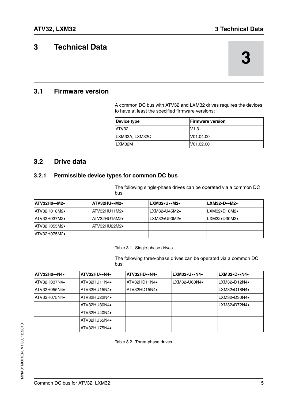#### <span id="page-14-0"></span>**3 Technical Data**

#### <span id="page-14-1"></span>**3.1 Firmware version**

A common DC bus with ATV32 and LXM32 drives requires the devices to have at least the specified firmware versions:

| Device type    | <b>Firmware version</b> |
|----------------|-------------------------|
| ATV32          | V1.3                    |
| LXM32A, LXM32C | V01.04.00               |
| ILXM32M        | V01.02.00               |

#### <span id="page-14-4"></span><span id="page-14-2"></span>**3.2 Drive data**

#### <span id="page-14-5"></span><span id="page-14-3"></span>**3.2.1 Permissible device types for common DC bus**

The following single-phase drives can be operated via a common DC bus:

| IATV32H0•∙M2∙ | ⊺ATV32HU•∙M2∙ | ILXM32•U••M2•       | ILXM32•D••M2• |
|---------------|---------------|---------------------|---------------|
| IATV32H018M2● | IATV32HU11M2∙ | <b>LXM32•U45M2•</b> | ILXM32∙D18M2∙ |
| IATV32H037M2● | IATV32HU15M2∙ | ILXM32∙U90M2∙       | ILXM32∙D30M2∙ |
| IATV32H055M2● | IATV32HU22M2● |                     |               |
| IATV32H075M2∙ |               |                     |               |

Table 3.1 Single-phase drives

The following three-phase drives can be operated via a common DC bus:

| ATV32H0N4.    | ATV32HUN4.   | ATV32HD••N4•  | LXM32.U.N4.  | LXM32.DN4.                  |
|---------------|--------------|---------------|--------------|-----------------------------|
| IATV32H037N4● | ATV32HU11N4• | ATV32HD11N4•  | LXM32.U60N4. | $LXM32\bullet D12N4\bullet$ |
| IATV32H055N4● | ATV32HU15N4• | IATV32HD15N4● |              | $LXM32\bullet D18N4\bullet$ |
| ATV32H075N4•  | ATV32HU22N4. |               |              | LXM32.D30N4.                |
|               | ATV32HU30N4. |               |              | LXM32.D72N4.                |
|               | ATV32HU40N4• |               |              |                             |
|               | ATV32HU55N4• |               |              |                             |
|               | ATV32HU75N4. |               |              |                             |

Table 3.2 Three-phase drives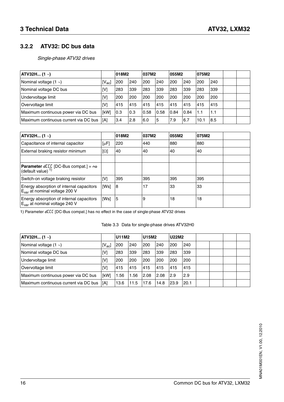#### <span id="page-15-0"></span>**3.2.2 ATV32: DC bus data**

*Single-phase ATV32 drives*

| ATV32H (1)                                   |                     | 018M2 |     | 037M2 |      | 055M2 |      | 075M2 |     |  |
|----------------------------------------------|---------------------|-------|-----|-------|------|-------|------|-------|-----|--|
| Nominal voltage $(1 \sim)$                   | $\mathsf{[V_{ac}]}$ | 200   | 240 | 200   | 240  | 200   | 240  | 200   | 240 |  |
| Nominal voltage DC bus                       | [V]                 | 283   | 339 | 283   | 339  | 283   | 339  | 283   | 339 |  |
| Undervoltage limit                           | [V]                 | 200   | 200 | 200   | 200  | 200   | 200  | 200   | 200 |  |
| Overvoltage limit                            | [V]                 | 415   | 415 | 415   | 415  | 415   | 415  | 415   | 415 |  |
| Maximum continuous power via DC bus          | <b>IKWI</b>         | 10.3  | 0.3 | 0.58  | 0.58 | 0.84  | 0.84 | 1.1   | 1.1 |  |
| Maximum continuous current via DC bus<br>[A] |                     | 3.4   | 2.8 | 6.0   | 5    | 7.9   | 6.7  | 10.1  | 8.5 |  |

| ATV32H $(1 -)$                                                                        |            | 018M2 | 037M2 | 055M2 | 075M2 |  |
|---------------------------------------------------------------------------------------|------------|-------|-------|-------|-------|--|
| Capacitance of internal capacitor                                                     | $[\mu$ F   | 220   | 440   | 880   | 880   |  |
| External braking resistor minimum                                                     | $[\Omega]$ | 40    | 40    | 40    | 40    |  |
|                                                                                       |            |       |       |       |       |  |
| <b>Parameter dEEE</b> [DC-Bus compat.] = $no$<br>(default value) $1)$                 |            |       |       |       |       |  |
| Switch-on voltage braking resistor                                                    | [V]        | 395   | 395   | 395   | 395   |  |
| Energy absorption of internal capacitors<br>E <sub>var</sub> at nominal voltage 200 V | [Ws]       | 8     | 17    | 33    | 33    |  |
| Energy absorption of internal capacitors<br>E <sub>var</sub> at nominal voltage 240 V | [Ws]       | 15    | 9     | 18    | 18    |  |

1) Parameter dCCC [DC-Bus compat.] has no effect in the case of single-phase ATV32 drives

| Table 3.3 Data for single-phase drives ATV32H0 |  |
|------------------------------------------------|--|
|                                                |  |

| <b>ATV32H (1 <math>\sim</math>)</b>          |                     | U11M2 |      | U15M2 |      | <b>U22M2</b> |      |  |  |
|----------------------------------------------|---------------------|-------|------|-------|------|--------------|------|--|--|
| Nominal voltage $(1 -)$                      | $[V_{\mathrm{ac}}]$ | 200   | 240  | 200   | 240  | 200          | 240  |  |  |
| Nominal voltage DC bus                       | [V]                 | 283   | 339  | 283   | 339  | 283          | 339  |  |  |
| Undervoltage limit                           | [V]                 | 200   | 200  | 200   | 200  | 200          | 200  |  |  |
| Overvoltage limit                            | [V]                 | 415   | 415  | 415   | 415  | 415          | 415  |  |  |
| Maximum continuous power via DC bus          | [kW]                | 1.56  | 1.56 | 2.08  | 2.08 | 2.9          | 2.9  |  |  |
| Maximum continuous current via DC bus<br>[A] |                     | 13.6  | 11.5 | 17.6  | 14.8 | 23.9         | 20.1 |  |  |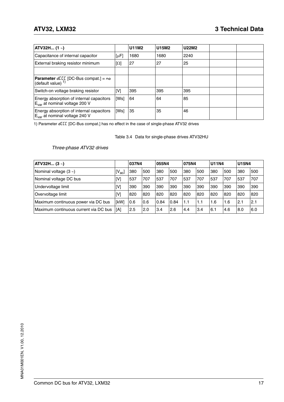| ATV32H (1)                                                                            |            | U11M2 | U15M2 | U22M2 |  |
|---------------------------------------------------------------------------------------|------------|-------|-------|-------|--|
| Capacitance of internal capacitor                                                     | $[\mu F]$  | 1680  | 1680  | 2240  |  |
| External braking resistor minimum                                                     | $[\Omega]$ | 27    | 27    | 25    |  |
|                                                                                       |            |       |       |       |  |
| <b>Parameter dELL</b> [DC-Bus compat.] = $no$<br>(default value) <sup>1)</sup>        |            |       |       |       |  |
| Switch-on voltage braking resistor                                                    | [V]        | 395   | 395   | 395   |  |
| Energy absorption of internal capacitors<br>E <sub>var</sub> at nominal voltage 200 V | [Ws]       | 64    | 64    | 85    |  |
| Energy absorption of internal capacitors<br>E <sub>var</sub> at nominal voltage 240 V | [Ws]       | 35    | 35    | 46    |  |

1) Parameter dCCC [DC-Bus compat.] has no effect in the case of single-phase ATV32 drives

Table 3.4 Data for single-phase drives ATV32HU

*Three-phase ATV32 drives*

| ATV32H $(3 \sim)$                     |                  | 037N4 |     | 055N4 |      | 075N4 |     | <b>U11N4</b> |     | <b>U15N4</b> |     |
|---------------------------------------|------------------|-------|-----|-------|------|-------|-----|--------------|-----|--------------|-----|
| Nominal voltage $(3 \sim)$            | [V $_{\rm ac}$ ] | 380   | 500 | 380   | 500  | 380   | 500 | 380          | 500 | 380          | 500 |
| Nominal voltage DC bus                | [V]              | 537   | 707 | 537   | 707  | 537   | 707 | 537          | 707 | 537          | 707 |
| Undervoltage limit                    | [V]              | 390   | 390 | 390   | 390  | 390   | 390 | 390          | 390 | 390          | 390 |
| Overvoltage limit                     | [V]              | 820   | 820 | 820   | 820  | 820   | 820 | 820          | 820 | 820          | 820 |
| Maximum continuous power via DC bus   | [kW]             | 0.6   | 0.6 | 0.84  | 0.84 | 1.1   | 1.1 | 1.6          | 1.6 | 2.1          | 2.1 |
| Maximum continuous current via DC bus | [A]              | 2.5   | 2.0 | 3.4   | 2.6  | 4.4   | 3.4 | 6.1          | 4.6 | 8.0          | 6.0 |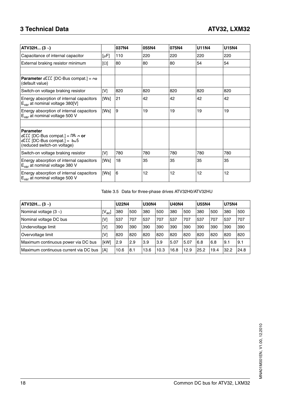#### **3 Technical Data ATV32, LXM32**

| ATV32H $(3 \sim)$                                                                                                                                    |            | 037N4          | 055N4 | 075N4 | <b>U11N4</b> | <b>U15N4</b> |
|------------------------------------------------------------------------------------------------------------------------------------------------------|------------|----------------|-------|-------|--------------|--------------|
| Capacitance of internal capacitor                                                                                                                    | $[\mu$ F]  | 110            | 220   | 220   | 220          | 220          |
| External braking resistor minimum                                                                                                                    | $[\Omega]$ | 80             | 80    | 80    | 54           | 54           |
|                                                                                                                                                      |            |                |       |       |              |              |
| <b>Parameter dELL</b> [DC-Bus compat.] = $na$<br>(default value)                                                                                     |            |                |       |       |              |              |
| Switch-on voltage braking resistor                                                                                                                   | [V]        | 820            | 820   | 820   | 820          | 820          |
| Energy absorption of internal capacitors<br>$E_{var}$ at nominal voltage 380[V]                                                                      | [Ws]       | 21             | 42    | 42    | 42           | 42           |
| Energy absorption of internal capacitors<br>E <sub>var</sub> at nominal voltage 500 V                                                                | [Ws]       | $\overline{9}$ | 19    | 19    | 19           | 19           |
|                                                                                                                                                      |            |                |       |       |              |              |
| <b>Parameter</b><br>$dELE$ [DC-Bus compat.] = $\overline{n}R_1 \cap \overline{or}$<br>$dELE$ [DC-Bus compat.] = $bu5$<br>(reduced switch-on voltage) |            |                |       |       |              |              |
| Switch-on voltage braking resistor                                                                                                                   | [V]        | 780            | 780   | 780   | 780          | 780          |
| Energy absorption of internal capacitors<br>E <sub>var</sub> at nominal voltage 380 V                                                                | [Ws]       | 18             | 35    | 35    | 35           | 35           |
| Energy absorption of internal capacitors<br>$E_{var}$ at nominal voltage 500 V                                                                       | [Ws]       | 6              | 12    | 12    | 12           | 12           |

Table 3.5 Data for three-phase drives ATV32H0/ATV32HU

| ATV32H $(3 \sim)$                     |            | <b>U22N4</b> |     | <b>U30N4</b> |      | <b>U40N4</b> |      | <b>U55N4</b> |      | <b>U75N4</b> |      |
|---------------------------------------|------------|--------------|-----|--------------|------|--------------|------|--------------|------|--------------|------|
| Nominal voltage $(3 \sim)$            | $[V_{ac}]$ | 380          | 500 | 380          | 500  | 380          | 500  | 380          | 500  | 380          | 500  |
| Nominal voltage DC bus                | [V]        | 537          | 707 | 537          | 707  | 537          | 707  | 537          | 707  | 537          | 707  |
| Undervoltage limit                    | [V]        | 390          | 390 | 390          | 390  | 390          | 390  | 390          | 390  | 390          | 390  |
| Overvoltage limit                     | [V]        | 820          | 820 | 820          | 820  | 820          | 820  | 820          | 820  | 820          | 820  |
| Maximum continuous power via DC bus   | [kW]       | 2.9          | 2.9 | 3.9          | 3.9  | 5.07         | 5.07 | 16.8         | 6.8  | 9.1          | 9.1  |
| Maximum continuous current via DC bus | [A]        | 10.6         | 8.1 | 13.6         | 10.3 | 16.8         | 12.9 | 25.2         | 19.4 | 32.2         | 24.8 |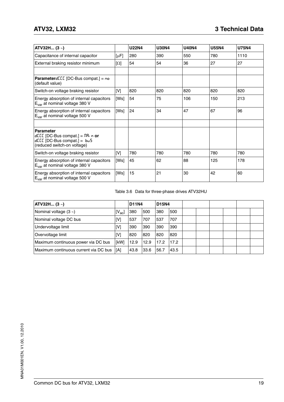| ATV32H (3)                                                                                                                          |            | <b>U22N4</b> | <b>U30N4</b> | <b>U40N4</b> | <b>U55N4</b> | <b>U75N4</b> |
|-------------------------------------------------------------------------------------------------------------------------------------|------------|--------------|--------------|--------------|--------------|--------------|
| Capacitance of internal capacitor                                                                                                   | $[\mu$ F]  | 280          | 390          | 550          | 780          | 1110         |
| External braking resistor minimum                                                                                                   | $[\Omega]$ | 54           | 54           | 36           | 27           | 27           |
| <b>Parameter</b> de [DC-Bus compat.] = $no$<br>(default value)                                                                      |            |              |              |              |              |              |
| Switch-on voltage braking resistor                                                                                                  | [V]        | 820          | 820          | 820          | 820          | 820          |
| Energy absorption of internal capacitors<br>E <sub>var</sub> at nominal voltage 380 V                                               | [Ws]       | 54           | 75           | 106          | 150          | 213          |
| Energy absorption of internal capacitors<br>E <sub>var</sub> at nominal voltage 500 V                                               | [Ws]       | 24           | 34           | 47           | 67           | 96           |
| <b>Parameter</b><br>$dELE$ [DC-Bus compat.] = $\overline{R}$ n or<br>$dELE$ [DC-Bus compat.] = $bu5$<br>(reduced switch-on voltage) |            |              |              |              |              |              |
| Switch-on voltage braking resistor                                                                                                  | [V]        | 780          | 780          | 780          | 780          | 780          |
| Energy absorption of internal capacitors<br>$E_{var}$ at nominal voltage 380 V                                                      | [Ws]       | 45           | 62           | 88           | 125          | 178          |
| Energy absorption of internal capacitors<br>E <sub>var</sub> at nominal voltage 500 V                                               | [Ws]       | 15           | 21           | 30           | 42           | 60           |

Table 3.6 Data for three-phase drives ATV32HU

| $ $ ATV32H (3 $\scriptstyle\sim$ )    |                     | <b>D11N4</b> |      | <b>D15N4</b> |      |  |  |  |
|---------------------------------------|---------------------|--------------|------|--------------|------|--|--|--|
| Nominal voltage $(3 \sim)$            | $\mathsf{[V_{ac}]}$ | 380          | 500  | 380          | 500  |  |  |  |
| Nominal voltage DC bus                | [V]                 | 537          | 707  | 537          | 707  |  |  |  |
| Undervoltage limit                    | [V]                 | 390          | 390  | 390          | 390  |  |  |  |
| Overvoltage limit                     | [V]                 | 820          | 820  | 1820         | 820  |  |  |  |
| Maximum continuous power via DC bus   | [kW]                | 12.9         | 12.9 | 17.2         | 17.2 |  |  |  |
| Maximum continuous current via DC bus | [A]                 | 43.8         | 33.6 | 56.7         | 43.5 |  |  |  |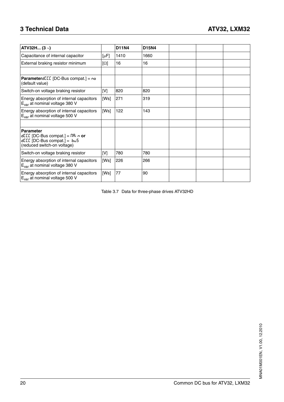#### **3 Technical Data ATV32, LXM32**

| ATV32H $(3 \sim)$                                                                                                                                    |            | <b>D11N4</b> | <b>D15N4</b> |  |  |
|------------------------------------------------------------------------------------------------------------------------------------------------------|------------|--------------|--------------|--|--|
| Capacitance of internal capacitor                                                                                                                    | $[\mu$ F]  | 1410         | 1660         |  |  |
| External braking resistor minimum                                                                                                                    | $[\Omega]$ | 16           | 16           |  |  |
|                                                                                                                                                      |            |              |              |  |  |
| <b>ParameterdELL</b> [DC-Bus compat.] = $no$<br>(default value)                                                                                      |            |              |              |  |  |
| Switch-on voltage braking resistor                                                                                                                   | [V]        | 820          | 820          |  |  |
| Energy absorption of internal capacitors<br>$E_{var}$ at nominal voltage 380 V                                                                       | [Ws]       | 271          | 319          |  |  |
| Energy absorption of internal capacitors<br>E <sub>var</sub> at nominal voltage 500 V                                                                | [Ws]       | 122          | 143          |  |  |
|                                                                                                                                                      |            |              |              |  |  |
| <b>Parameter</b><br>$dELE$ [DC-Bus compat.] = $\overline{n}R_1 \cap \overline{or}$<br>$dELE$ [DC-Bus compat.] = $bu5$<br>(reduced switch-on voltage) |            |              |              |  |  |
| Switch-on voltage braking resistor                                                                                                                   | [V]        | 780          | 780          |  |  |
| Energy absorption of internal capacitors<br>$E_{var}$ at nominal voltage 380 V                                                                       | [Ws]       | 226          | 266          |  |  |
| Energy absorption of internal capacitors<br>E <sub>var</sub> at nominal voltage 500 V                                                                | [Ws]       | 77           | 90           |  |  |

Table 3.7 Data for three-phase drives ATV32HD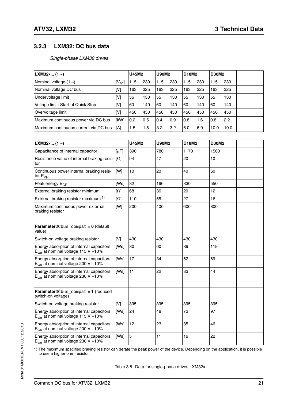#### <span id="page-20-0"></span>**3.2.3 LXM32: DC bus data**

*Single-phase LXM32 drives*

| <b>LXM32•</b> (1 $\sim$ )             |                     | <b>U45M2</b> |     | <b>U90M2</b> |     | D18M2 |      | <b>D30M2</b> |      |  |
|---------------------------------------|---------------------|--------------|-----|--------------|-----|-------|------|--------------|------|--|
| Nominal voltage $(1 -)$               | $[V_{\mathrm{ac}}]$ | 115          | 230 | 115          | 230 | 115   | 230  | 115          | 230  |  |
| Nominal voltage DC bus                | [V]                 | 163          | 325 | 163          | 325 | 163   | 325  | 163          | 325  |  |
| Undervoltage limit                    | [V]                 | 55           | 130 | 55           | 130 | 55    | 130  | 55           | 130  |  |
| Voltage limit: Start of Quick Stop    | [V]                 | 60           | 140 | I60          | 140 | I60   | 140  | 60           | 140  |  |
| Overvoltage limit                     | [V]                 | 450          | 450 | 450          | 450 | 450   | 450  | 450          | 450  |  |
| Maximum continuous power via DC bus   | [kW]                | 0.2          | 0.5 | 0.4          | 0.9 | 0.8   | 11.6 | 0.8          | 2.2  |  |
| Maximum continuous current via DC bus | [A]                 | 1.5          | 1.5 | 3.2          | 3.2 | 6.0   | 6.0  | 10.0         | 10.0 |  |

| LXM32• $(1 -)$                                                                      |            | U45M2 | <b>U90M2</b> | D18M2 | D30M2 |  |
|-------------------------------------------------------------------------------------|------------|-------|--------------|-------|-------|--|
| Capacitance of internal capacitor                                                   | $[\mu$ F]  | 390   | 780          | 1170  | 1560  |  |
| Resistance value of internal braking resis-<br>tor                                  | $[\Omega]$ | 94    | 47           | 20    | 10    |  |
| Continuous power internal braking resis-<br>tor $P_{PR}$                            | [W]        | 10    | 20           | 40    | 60    |  |
| Peak energy E <sub>CR</sub>                                                         | [Ws]       | 82    | 166          | 330   | 550   |  |
| External braking resistor minimum                                                   | $[\Omega]$ | 68    | 36           | 20    | 12    |  |
| External braking resistor maximum <sup>1)</sup>                                     | $[\Omega]$ | 110   | 55           | 27    | 16    |  |
| Maximum continuous power external<br>braking resistor                               | [W]        | 200   | 400          | 600   | 800   |  |
|                                                                                     |            |       |              |       |       |  |
| ParameterDCbus_compat = 0 (default<br>value)                                        |            |       |              |       |       |  |
| Switch-on voltage braking resistor                                                  | [V]        | 430   | 430          | 430   | 430   |  |
| Energy absorption of internal capacitors<br>$E_{var}$ at nominal voltage 115 V +10% | [Ws]       | 30    | 60           | 89    | 119   |  |
| Energy absorption of internal capacitors<br>$E_{var}$ at nominal voltage 200 V +10% | [Ws]       | 17    | 34           | 52    | 69    |  |
| Energy absorption of internal capacitors<br>$E_{var}$ at nominal voltage 230 V +10% | [Ws]       | 11    | 22           | 33    | 44    |  |
|                                                                                     |            |       |              |       |       |  |
| ParameterDCbus_compat = 1 (reduced<br>switch-on voltage)                            |            |       |              |       |       |  |
| Switch-on voltage braking resistor                                                  | [V]        | 395   | 395          | 395   | 395   |  |
| Energy absorption of internal capacitors<br>$E_{var}$ at nominal voltage 115 V +10% | [Ws]       | 24    | 48           | 73    | 97    |  |
| Energy absorption of internal capacitors<br>$E_{var}$ at nominal voltage 200 V +10% | [Ws]       | 12    | 23           | 35    | 46    |  |
| Energy absorption of internal capacitors<br>$E_{var}$ at nominal voltage 230 V +10% | [Ws]       | 5     | 11           | 16    | 22    |  |

1) The maximum specified braking resistor can derate the peak power of the device. Depending on the application, it is possible to use a higher ohm resistor.

Table 3.8 Data for single-phase drives LXM32•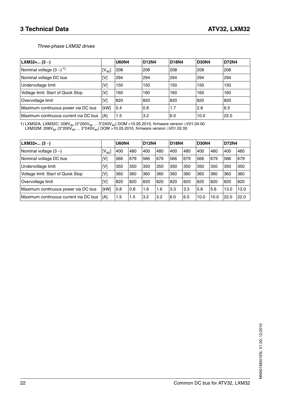#### *Three-phase LXM32 drives*

| <b>LXM32•</b> (3 $\sim$ )             |                     | <b>U60N4</b> | <b>D12N4</b> | <b>D18N4</b> | <b>D30N4</b> | <b>D72N4</b> |
|---------------------------------------|---------------------|--------------|--------------|--------------|--------------|--------------|
| Nominal voltage $(3 \sim)^{1}$        | $[V_{\mathrm{ac}}]$ | 208          | 208          | 208          | 208          | 208          |
| Nominal voltage DC bus                | [V]                 | 294          | 294          | 294          | 294          | 294          |
| Undervoltage limit                    | [V]                 | 150          | 150          | 150          | 150          | 150          |
| Voltage limit: Start of Quick Stop    | [V]                 | 160          | 160          | 160          | 160          | 160          |
| Overvoltage limit                     | [V]                 | 820          | 820          | 820          | 820          | 820          |
| Maximum continuous power via DC bus   | [kW]                | 10.4         | 0.8          | 1.7          | 2.8          | 6.5          |
| Maximum continuous current via DC bus | [A]                 | 1.5          | 3.2          | 6.0          | 10.0         | 22.0         |

1) LXM32A, LXM32C: 208V<sub>ac</sub> (3\*200V<sub>ac</sub> ... 3\*240V<sub>ac</sub>) DOM >10.05.2010, firmware version ≥V01.04.00

LXM32M: 208V<sub>ac</sub> (3\*200V<sub>ac</sub> ... 3\*240V<sub>ac</sub>) DOM >10.05.2010, firmware version ≥V01.02.00

| <b>LXM32•</b> (3 $\sim$ )             |            | <b>U60N4</b> |     | <b>D12N4</b> |     | <b>D18N4</b> |     | <b>D30N4</b> |      | <b>D72N4</b> |      |
|---------------------------------------|------------|--------------|-----|--------------|-----|--------------|-----|--------------|------|--------------|------|
| Nominal voltage $(3 \sim)$            | $[V_{ac}]$ | 400          | 480 | 400          | 480 | 400          | 480 | 400          | 480  | 400          | 480  |
| Nominal voltage DC bus                | [V]        | 566          | 679 | 566          | 679 | 566          | 679 | 566          | 679  | 566          | 679  |
| Undervoltage limit                    | [V]        | 350          | 350 | 350          | 350 | 350          | 350 | 350          | 350  | 350          | 350  |
| Voltage limit: Start of Quick Stop    | [V]        | 360          | 360 | 360          | 360 | 360          | 360 | 360          | 360  | 360          | 360  |
| Overvoltage limit                     | [V]        | 820          | 820 | 820          | 820 | 820          | 820 | 820          | 820  | 820          | 820  |
| Maximum continuous power via DC bus   | [kW]       | 10.8         | 0.8 | 1.6          | 1.6 | 3.3          | 3.3 | 5.6          | 5.6  | 13.0         | 13.0 |
| Maximum continuous current via DC bus | <b>IA</b>  | 1.5          | 1.5 | 3.2          | 3.2 | 6.0          | 6.0 | 10.0         | 10.0 | 22.0         | 22.0 |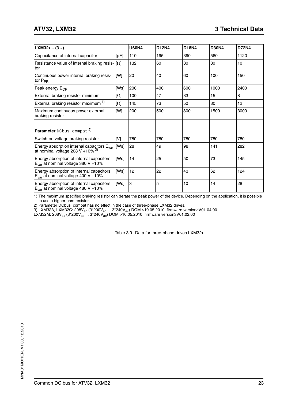| <b>LXM32•</b> (3 $\sim$ )                                                                      |             | <b>U60N4</b> | D12N4 | D18N4 | <b>D30N4</b> | <b>D72N4</b> |
|------------------------------------------------------------------------------------------------|-------------|--------------|-------|-------|--------------|--------------|
| Capacitance of internal capacitor                                                              | $[\mu$ F]   | 110          | 195   | 390   | 560          | 1120         |
| Resistance value of internal braking resis-<br>tor                                             | $[\Omega]$  | 132          | 60    | 30    | 30           | 10           |
| Continuous power internal braking resis-<br>tor $P_{PR}$                                       | [W]         | 20           | 40    | 60    | 100          | 150          |
| Peak energy E <sub>CR</sub>                                                                    | [Ws]        | 200          | 400   | 600   | 1000         | 2400         |
| External braking resistor minimum                                                              | $[\Omega]$  | 100          | 47    | 33    | 15           | 8            |
| External braking resistor maximum <sup>1)</sup>                                                | $[\Omega]$  | 145          | 73    | 50    | 30           | 12           |
| Maximum continuous power external<br>braking resistor                                          | [W]         | 200          | 500   | 800   | 1500         | 3000         |
|                                                                                                |             |              |       |       |              |              |
| <b>Parameter</b> DCbus_compat <sup>2)</sup>                                                    |             |              |       |       |              |              |
| Switch-on voltage braking resistor                                                             | [V]         | 780          | 780   | 780   | 780          | 780          |
| Energy absorption internal capacitors E <sub>var</sub><br>at nominal voltage 208 V + $10\%$ 3) | <b>IWsl</b> | 28           | 49    | 98    | 141          | 282          |
| Energy absorption of internal capacitors<br>$E_{var}$ at nominal voltage 380 V +10%            | [Ws]        | 14           | 25    | 50    | 73           | 145          |
| Energy absorption of internal capacitors<br>$E_{var}$ at nominal voltage 400 V +10%            | [Ws]        | 12           | 22    | 43    | 62           | 124          |
| Energy absorption of internal capacitors<br>$E_{var}$ at nominal voltage 480 V +10%            | [Ws]        | 3            | 5     | 10    | 14           | 28           |

1) The maximum specified braking resistor can derate the peak power of the device. Depending on the application, it is possible to use a higher ohm resistor.

2) Parameter DCbus\_compat has no effect in the case of three-phase LXM32 drives.

3) LXM32A, LXM32C: 208V<sub>ac</sub> (3\*200V<sub>ac</sub> ... 3\*240V<sub>ac</sub>) DOM >10.05.2010, firmware version≥V01.04.00

LXM32M: 208V<sub>ac</sub> (3\*200V<sub>ac</sub> ... 3\*240V<sub>ac</sub>) DOM >10.05.2010, firmware version≥V01.02.00

Table 3.9 Data for three-phase drives LXM32.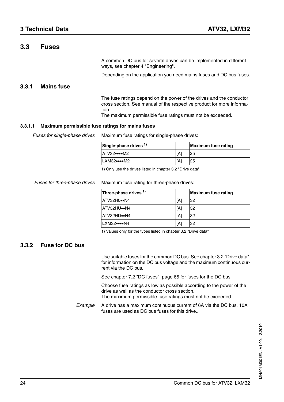#### <span id="page-23-0"></span>**3.3 Fuses**

A common DC bus for several drives can be implemented in different ways, see chapter [4 "Engineering"](#page-28-2).

Depending on the application you need mains fuses and DC bus fuses.

#### <span id="page-23-3"></span><span id="page-23-1"></span>**3.3.1 Mains fuse**

The fuse ratings depend on the power of the drives and the conductor cross section. See manual of the respective product for more information.

The maximum permissible fuse ratings must not be exceeded.

#### **3.3.1.1 Maximum permissible fuse ratings for mains fuses**

*Fuses for single-phase drives* Maximum fuse ratings for single-phase drives:

| Single-phase drives $1$ ) |     | Maximum fuse rating |
|---------------------------|-----|---------------------|
| IATV32••••M2              | ſΑ  | 25                  |
| LXM32 •••• M2             | [A] | 25                  |

1) Only use the drives listed in chapter [3.2 "Drive data"](#page-14-2).

*Fuses for three-phase drives* Maximum fuse rating for three-phase drives:

| Three-phase drives <sup>1)</sup> |     | <b>Maximum fuse rating</b> |
|----------------------------------|-----|----------------------------|
| ATV32H0N4                        | [A] | 32                         |
| <b>ATV32HU.</b> N4               | [A] | 32                         |
| <b>ATV32HD</b> .N4               | [A] | 32                         |
| LXM32N4                          | [A] | 32                         |

1) Values only for the types listed in chapter [3.2 "Drive data"](#page-14-2)

#### <span id="page-23-4"></span><span id="page-23-2"></span>**3.3.2 Fuse for DC bus**

Use suitable fuses for the common DC bus. See chapter [3.2 "Drive data"](#page-14-2) for information on the DC bus voltage and the maximum continuous current via the DC bus.

See chapter [7.2 "DC fuses"](#page-64-3), page [65](#page-64-3) for fuses for the DC bus.

Choose fuse ratings as low as possible according to the power of the drive as well as the conductor cross section.

The maximum permissible fuse ratings must not be exceeded.

*Example* A drive has a maximum continuous current of 6A via the DC bus. 10A fuses are used as DC bus fuses for this drive..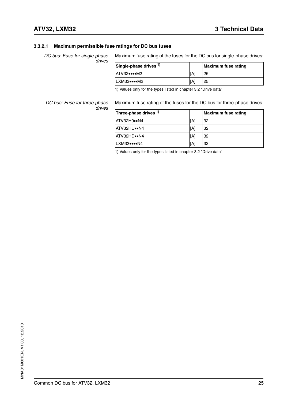#### **3.3.2.1 Maximum permissible fuse ratings for DC bus fuses**

*DC bus: Fuse for single-phase drives* Maximum fuse rating of the fuses for the DC bus for single-phase drives:

| Single-phase drives <sup>1)</sup> |     | <b>Maximum fuse rating</b> |
|-----------------------------------|-----|----------------------------|
| IATV32∙∙∙∙M2                      | [A] | 25                         |
| ILXM32∙∙∙∙M2                      | [A] | 25                         |

1) Values only for the types listed in chapter [3.2 "Drive data"](#page-14-2)

*DC bus: Fuse for three-phase drives*

Maximum fuse rating of the fuses for the DC bus for three-phase drives:

| Three-phase drives <sup>1)</sup> |     | <b>Maximum fuse rating</b> |
|----------------------------------|-----|----------------------------|
| IATV32H0⊷N4                      | [A] | 32                         |
| ATV32HU.N4                       | [A] | 32                         |
| ATV32HD••N4                      | [A] | 32                         |
| LXM32 •••• N4                    | [A] | 32                         |

1) Values only for the types listed in chapter [3.2 "Drive data"](#page-14-2)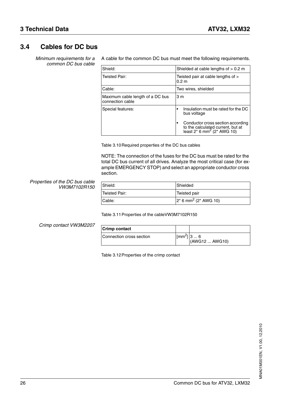#### <span id="page-25-0"></span>**3.4 Cables for DC bus**

<span id="page-25-1"></span>*Minimum requirements for a common DC bus cable*

A cable for the common DC bus must meet the following requirements.

| Shield:                                              | Shielded at cable lengths of $> 0.2$ m                                                                               |
|------------------------------------------------------|----------------------------------------------------------------------------------------------------------------------|
| Twisted Pair:                                        | Twisted pair at cable lengths of ><br>0.2 <sub>m</sub>                                                               |
| Cable:                                               | Two wires, shielded                                                                                                  |
| Maximum cable length of a DC bus<br>connection cable | 3 <sub>m</sub>                                                                                                       |
| Special features:                                    | Insulation must be rated for the DC<br>bus voltage                                                                   |
|                                                      | Conductor cross section according<br>to the calculated current, but at least $2^*$ 6 mm <sup>2</sup> ( $2^*$ AWG 10) |

Table 3.10Required properties of the DC bus cables

NOTE: The connection of the fuses for the DC bus must be rated for the total DC bus current of all drives. Analyze the most critical case (for example EMERGENCY STOP) and select an appropriate conductor cross section.

#### *Properties of the DC bus cable VW3M7102R150*

| Shield:       | <b>Shielded</b>                      |
|---------------|--------------------------------------|
| Twisted Pair: | Twisted pair                         |
| Cable:        | $2*6$ mm <sup>2</sup> ( $2*$ AWG 10) |

Table 3.11Properties of the cableVW3M7102R150

*Crimp contact VW3M2207*

| <b>Crimp contact</b>     |                          |                |
|--------------------------|--------------------------|----------------|
| Connection cross section | $\text{[mm}^2 \mid 3  6$ | (AWG12  AWG10) |

Table 3.12 Properties of the crimp contact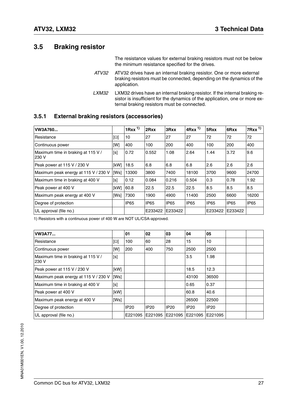#### <span id="page-26-0"></span>**3.5 Braking resistor**

The resistance values for external braking resistors must not be below the minimum resistance specified for the drives.

- *ATV32* ATV32 drives have an internal braking resistor. One or more external braking resistors must be connected, depending on the dynamics of the application.
- <span id="page-26-2"></span>*LXM32* LXM32 drives have an internal braking resistor. If the internal braking resistor is insufficient for the dynamics of the application, one or more external braking resistors must be connected.

#### <span id="page-26-1"></span>**3.5.1 External braking resistors (accessories)**

| VW3A760                                     |            | $1Rxx$ <sup>1)</sup> | 2Rxx        | 3Rxx        | $4Rxx$ <sup>1)</sup> | 5Rxx        | 6 <sub>Rxx</sub> | $7Rxx$ <sup>1)</sup> |
|---------------------------------------------|------------|----------------------|-------------|-------------|----------------------|-------------|------------------|----------------------|
| Resistance                                  | $[\Omega]$ | 10                   | 27          | 27          | 27                   | 72          | 72               | 72                   |
| Continuous power                            | [W]        | 400                  | 100         | 200         | 400                  | 100         | 200              | 400                  |
| Maximum time in braking at 115 V /<br>230 V | [s]        | 0.72                 | 0.552       | 1.08        | 2.64                 | 1.44        | 3.72             | 9.6                  |
| Peak power at 115 V / 230 V                 | [kW]       | 18.5                 | 6.8         | 6.8         | 6.8                  | 2.6         | 2.6              | 2.6                  |
| Maximum peak energy at 115 V / 230 V        | [Ws]       | 13300                | 3800        | 7400        | 18100                | 3700        | 9600             | 24700                |
| Maximum time in braking at 400 V            | [s]        | 0.12                 | 0.084       | 0.216       | 0.504                | 0.3         | 0.78             | 1.92                 |
| Peak power at 400 V                         | [kW]       | 60.8                 | 22.5        | 22.5        | 22.5                 | 8.5         | 8.5              | 8.5                  |
| Maximum peak energy at 400 V                | [Ws]       | 7300                 | 1900        | 4900        | 11400                | 2500        | 6600             | 16200                |
| Degree of protection                        |            | <b>IP65</b>          | <b>IP65</b> | <b>IP65</b> | <b>IP65</b>          | <b>IP65</b> | <b>IP65</b>      | <b>IP65</b>          |
| UL approval (file no.)                      |            |                      | E233422     | E233422     |                      | E233422     | E233422          |                      |

1) Resistors with a continuous power of 400 W are NOT UL/CSA-approved.

| <b>VW3A77</b>                               |            | 01          | 02          | 03          | 04               | 05          |  |
|---------------------------------------------|------------|-------------|-------------|-------------|------------------|-------------|--|
| Resistance                                  | $[\Omega]$ | 100         | 60          | 28          | 15               | 10          |  |
| Continuous power                            | [W]        | 200         | 400         | 750         | 2500             | 2500        |  |
| Maximum time in braking at 115 V /<br>230 V | [s]        |             |             |             | 3.5              | 1.98        |  |
| Peak power at 115 V / 230 V                 | [kW]       |             |             |             | 18.5             | 12.3        |  |
| Maximum peak energy at 115 V / 230 V        | [Ws]       |             |             |             | 43100            | 36500       |  |
| Maximum time in braking at 400 V            | [s]        |             |             |             | 0.65             | 0.37        |  |
| Peak power at 400 V                         | [kW]       |             |             |             | 60.8             | 40.6        |  |
| Maximum peak energy at 400 V                | [Ws]       |             |             |             | 26500            | 22500       |  |
| Degree of protection                        |            | <b>IP20</b> | <b>IP20</b> | <b>IP20</b> | IP <sub>20</sub> | <b>IP20</b> |  |
| UL approval (file no.)                      |            | E221095     | E221095     | E221095     | E221095          | E221095     |  |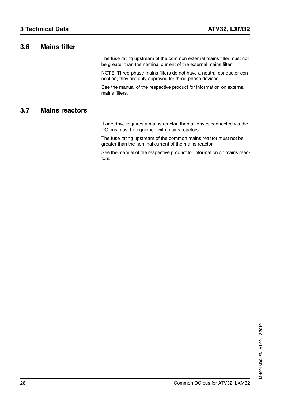#### <span id="page-27-0"></span>**3.6 Mains filter**

The fuse rating upstream of the common external mains filter must not be greater than the nominal current of the external mains filter.

NOTE: Three-phase mains filters do not have a neutral conductor connection; they are only approved for three-phase devices.

See the manual of the respective product for information on external mains filters.

#### <span id="page-27-1"></span>**3.7 Mains reactors**

If one drive requires a mains reactor, then all drives connected via the DC bus must be equipped with mains reactors.

The fuse rating upstream of the common mains reactor must not be greater than the nominal current of the mains reactor.

See the manual of the respective product for information on mains reactors.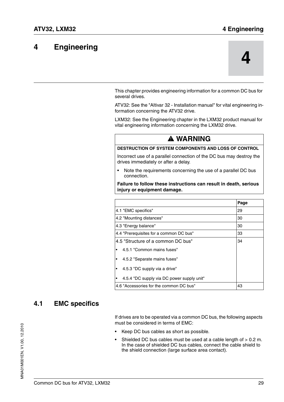# <span id="page-28-2"></span><span id="page-28-0"></span>**4 4 Engineering**



This chapter provides engineering information for a common DC bus for several drives.

ATV32: See the "Altivar 32 - Installation manual" for vital engineering information concerning the ATV32 drive.

LXM32: See the Engineering chapter in the LXM32 product manual for vital engineering information concerning the LXM32 drive.

#### **@ WARNING**

#### **DESTRUCTION OF SYSTEM COMPONENTS AND LOSS OF CONTROL**

Incorrect use of a parallel connection of the DC bus may destroy the drives immediately or after a delay.

• Note the requirements concerning the use of a parallel DC bus connection.

**Failure to follow these instructions can result in death, serious injury or equipment damage.**

|                                            | Page |
|--------------------------------------------|------|
| 4.1 "EMC specifics"                        | 29   |
| 4.2 "Mounting distances"                   | 30   |
| 4.3 "Energy balance"                       | 30   |
| 4.4 "Prerequisites for a common DC bus"    | 33   |
| 4.5 "Structure of a common DC bus"         | 34   |
| 4.5.1 "Common mains fuses"                 |      |
| 4.5.2 "Separate mains fuses"               |      |
| 4.5.3 "DC supply via a drive"              |      |
| 4.5.4 "DC supply via DC power supply unit" |      |
| 4.6 "Accessories for the common DC bus"    | 43   |

#### <span id="page-28-1"></span>**4.1 EMC specifics**

If drives are to be operated via a common DC bus, the following aspects must be considered in terms of EMC:

- Keep DC bus cables as short as possible.
- Shielded DC bus cables must be used at a cable length of > 0.2 m. In the case of shielded DC bus cables, connect the cable shield to the shield connection (large surface area contact).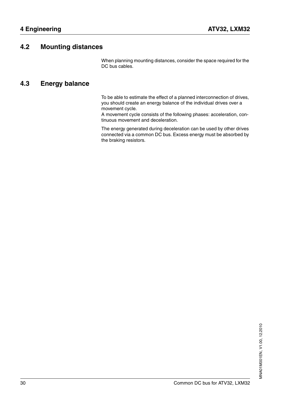#### <span id="page-29-0"></span>**4.2 Mounting distances**

When planning mounting distances, consider the space required for the DC bus cables.

#### <span id="page-29-1"></span>**4.3 Energy balance**

To be able to estimate the effect of a planned interconnection of drives, you should create an energy balance of the individual drives over a movement cycle.

A movement cycle consists of the following phases: acceleration, continuous movement and deceleration.

The energy generated during deceleration can be used by other drives connected via a common DC bus. Excess energy must be absorbed by the braking resistors.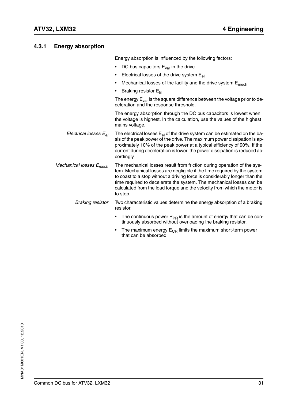#### <span id="page-30-0"></span>**4.3.1 Energy absorption**

Energy absorption is influenced by the following factors:

- DC bus capacitors  $E_{var}$  in the drive
- Electrical losses of the drive system  $E_{el}$
- Mechanical losses of the facility and the drive system  $E_{mech}$
- Braking resistor E<sub>B</sub>

The energy  $E_{var}$  is the square difference between the voltage prior to deceleration and the response threshold.

The energy absorption through the DC bus capacitors is lowest when the voltage is highest. In the calculation, use the values of the highest mains voltage.

- *Electrical losses*  $E_{el}$  The electrical losses  $E_{el}$  of the drive system can be estimated on the basis of the peak power of the drive. The maximum power dissipation is approximately 10% of the peak power at a typical efficiency of 90%. If the current during deceleration is lower, the power dissipation is reduced accordingly.
- *Mechanical losses E<sub>mech</sub>* The mechanical losses result from friction during operation of the system. Mechanical losses are negligible if the time required by the system to coast to a stop without a driving force is considerably longer than the time required to decelerate the system. The mechanical losses can be calculated from the load torque and the velocity from which the motor is to stop.
	- *Braking resistor* Two characteristic values determine the energy absorption of a braking resistor.
		- The continuous power  $P_{PR}$  is the amount of energy that can be continuously absorbed without overloading the braking resistor.
		- The maximum energy  $E_{CR}$  limits the maximum short-term power that can be absorbed.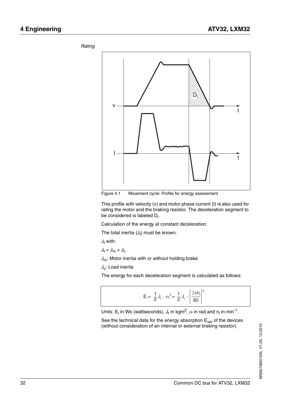

Figure 4.1 Movement cycle: Profile for energy assessment

This profile with velocity (v) and motor phase current (I) is also used for rating the motor and the braking resistor. The deceleration segment to be considered is labeled  $\mathsf{D}_{\mathsf{i}}.$ 

Calculation of the energy at constant deceleration:

The total inertia  $(J_t)$  must be known.

 $\mathsf{J}_\mathsf{t}$  with:

 $J_t = J_m + J_c$ 

 $J_m$ : Motor inertia with or without holding brake

J<sub>c</sub>: Load inertia

The energy for each deceleration segment is calculated as follows:

$$
E_{i} = \frac{1}{2} J_{t} \cdot \omega_{i}^{2} = \frac{1}{2} J_{t} \cdot \left[\frac{2\pi n_{i}}{60}\right]^{2}
$$

Units: E<sub>i</sub> in Ws (wattseconds), J<sub>t</sub> in kgm<sup>2</sup>,  $\omega$  in rad and n<sub>i</sub> in min<sup>-1</sup>.

See the technical data for the energy absorption  $E_{var}$  of the devices (without consideration of an internal or external braking resistor).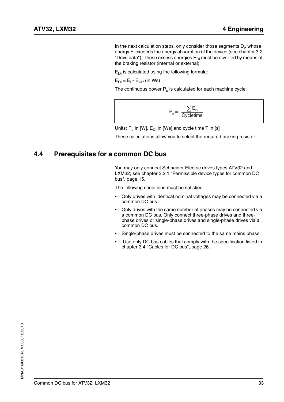In the next calculation steps, only consider those segments  $D_i$ , whose energy E<sub>i</sub> exceeds the energy absorption of the device (see chapter 3.2 ["Drive data"](#page-14-4)). These excess energies  $E_{Di}$  must be diverted by means of the braking resistor (internal or external).

 $E_{\text{Di}}$  is calculated using the following formula:

 $E_{Di}$  =  $E_i$  -  $E_{var}$  (in Ws)

The continuous power  $P_c$  is calculated for each machine cycle:

$$
P_c = \frac{\sum E_{Di}}{Cyclictime}
$$

Units:  $P_c$  in [W],  $E_{Di}$  in [Ws] and cycle time T in [s]

These calculations allow you to select the required braking resistor.

#### <span id="page-32-0"></span>**4.4 Prerequisites for a common DC bus**

You may only connect Schneider Electric drives types ATV32 and LXM32; see chapter [3.2.1 "Permissible device types for common DC](#page-14-5)  [bus"](#page-14-5), page [15](#page-14-5).

The following conditions must be satisfied:

- Only drives with identical nominal voltages may be connected via a common DC bus.
- Only drives with the same number of phases may be connected via a common DC bus. Only connect three-phase drives and threephase drives or single-phase drives and single-phase drives via a common DC bus.
- Single-phase drives must be connected to the same mains phase.
- Use only DC bus cables that comply with the specification listed in chapter [3.4 "Cables for DC bus",](#page-25-1) page [26.](#page-25-1)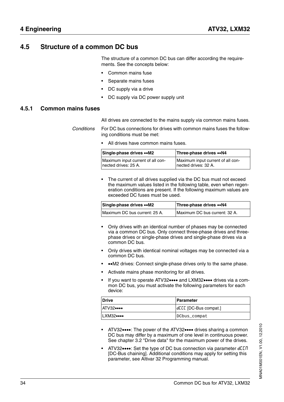#### <span id="page-33-0"></span>**4.5 Structure of a common DC bus**

The structure of a common DC bus can differ according the requirements. See the concepts below:

- Common mains fuse
- Separate mains fuses
- DC supply via a drive
- DC supply via DC power supply unit

#### <span id="page-33-1"></span>**4.5.1 Common mains fuses**

All drives are connected to the mains supply via common mains fuses.

*Conditions* For DC bus connections for drives with common mains fuses the following conditions must be met:

• All drives have common mains fuses.

| Single-phase drives •• M2         | Three-phase drives •• N4          |  |  |  |
|-----------------------------------|-----------------------------------|--|--|--|
| Maximum input current of all con- | Maximum input current of all con- |  |  |  |
| Inected drives: 25 A.             | nected drives: 32 A.              |  |  |  |

The current of all drives supplied via the DC bus must not exceed the maximum values listed in the following table, even when regeneration conditions are present. If the following maximum values are exceeded DC fuses must be used.

| Single-phase drives •• M2     | Three-phase drives •• N4      |
|-------------------------------|-------------------------------|
| Maximum DC bus current: 25 A. | Maximum DC bus current: 32 A. |

- Only drives with an identical number of phases may be connected via a common DC bus. Only connect three-phase drives and threephase drives or single-phase drives and single-phase drives via a common DC bus.
- Only drives with identical nominal voltages may be connected via a common DC bus.
- ••M2 drives: Connect single-phase drives only to the same phase.
- Activate mains phase monitoring for all drives.
- If you want to operate ATV32•••• and LXM32•••• drives via a common DC bus, you must activate the following parameters for each device:

| Drive        | <b>I</b> Parameter                     |
|--------------|----------------------------------------|
| <b>ATV32</b> | dellargeright compater of the compater |
| ILXM32••••   | DCbus_compat                           |

- ATV32••••: The power of the ATV32•••• drives sharing a common DC bus may differ by a maximum of one level in continuous power. See chapter [3.2 "Drive data"](#page-14-4) for the maximum power of the drives.
- ATV32••••: Set the type of DC bus connection via parameter dEEM [DC-Bus chaining]. Additional conditions may apply for setting this parameter, see Altivar 32 Programming manual.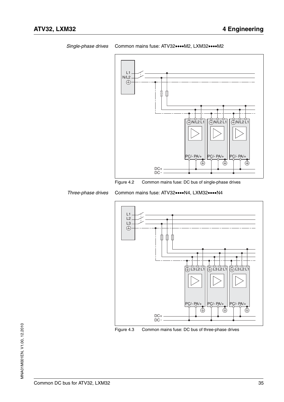

*Single-phase drives* Common mains fuse: ATV32••••M2, LXM32••••M2

*Three-phase drives* Common mains fuse: ATV32••••N4, LXM32••••N4



Figure 4.3 Common mains fuse: DC bus of three-phase drives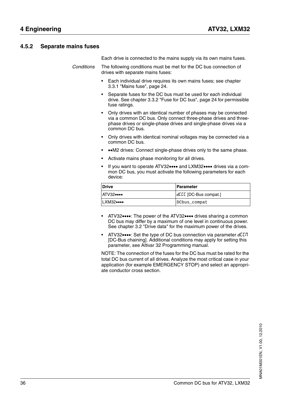#### <span id="page-35-0"></span>**4.5.2 Separate mains fuses**

Each drive is connected to the mains supply via its own mains fuses.

*Conditions* The following conditions must be met for the DC bus connection of drives with separate mains fuses:

- Each individual drive requires its own mains fuses; see chapter [3.3.1 "Mains fuse"](#page-23-3), page [24.](#page-23-3)
- Separate fuses for the DC bus must be used for each individual drive. See chapter [3.3.2 "Fuse for DC bus"](#page-23-4), page [24](#page-23-4) for permissible fuse ratings.
- Only drives with an identical number of phases may be connected via a common DC bus. Only connect three-phase drives and threephase drives or single-phase drives and single-phase drives via a common DC bus.
- Only drives with identical nominal voltages may be connected via a common DC bus.
- ••M2 drives: Connect single-phase drives only to the same phase.
- Activate mains phase monitoring for all drives.
- If you want to operate ATV32•••• and LXM32•••• drives via a common DC bus, you must activate the following parameters for each device:

| <b>IDrive</b> | <b>I Parameter</b>     |
|---------------|------------------------|
| IATV32        | delle (DC-Bus compat.) |
| LXM32         | DCbus_compat           |

- ATV32••••: The power of the ATV32•••• drives sharing a common DC bus may differ by a maximum of one level in continuous power. See chapter [3.2 "Drive data"](#page-14-4) for the maximum power of the drives.
- ATV32••••: Set the type of DC bus connection via parameter dELn [DC-Bus chaining]. Additional conditions may apply for setting this parameter, see Altivar 32 Programming manual.

NOTE: The connection of the fuses for the DC bus must be rated for the total DC bus current of all drives. Analyze the most critical case in your application (for example EMERGENCY STOP) and select an appropriate conductor cross section.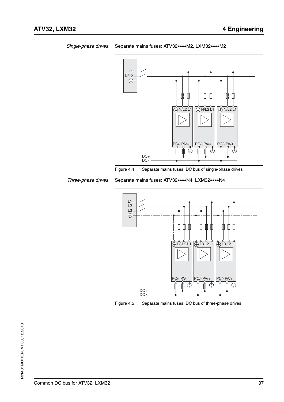

<span id="page-36-0"></span>*Single-phase drives* Separate mains fuses: ATV32••••M2, LXM32••••M2



Ă  $\Phi$ 

 $\mathsf{I}$ 

Ť ⊕

Ш

<span id="page-36-1"></span>*Three-phase drives* Separate mains fuses: ATV32••••N4, LXM32••••N4

DC+ DC -



Figure 4.5 Separate mains fuses: DC bus of three-phase drives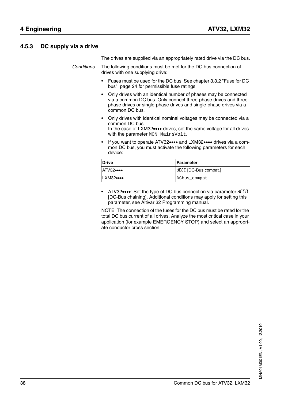#### **4.5.3 DC supply via a drive**

The drives are supplied via an appropriately rated drive via the DC bus.

*Conditions* The following conditions must be met for the DC bus connection of drives with one supplying drive:

- Fuses must be used for the DC bus. See chapter [3.3.2 "Fuse for DC](#page-23-0)  [bus"](#page-23-0), page [24](#page-23-0) for permissible fuse ratings.
- Only drives with an identical number of phases may be connected via a common DC bus. Only connect three-phase drives and threephase drives or single-phase drives and single-phase drives via a common DC bus.
- Only drives with identical nominal voltages may be connected via a common DC bus. In the case of LXM32•••• drives, set the same voltage for all drives with the parameter MON MainsVolt.
- If you want to operate ATV32•••• and LXM32•••• drives via a common DC bus, you must activate the following parameters for each device:

| <b>IDrive</b>     | <b>IParameter</b>      |
|-------------------|------------------------|
| IATV32            | della (DC-Bus compat.) |
| <b>LXM32 ••••</b> | DCbus_compat           |

• ATV32••••: Set the type of DC bus connection via parameter dELM [DC-Bus chaining]. Additional conditions may apply for setting this parameter, see Altivar 32 Programming manual.

NOTE: The connection of the fuses for the DC bus must be rated for the total DC bus current of all drives. Analyze the most critical case in your application (for example EMERGENCY STOP) and select an appropriate conductor cross section.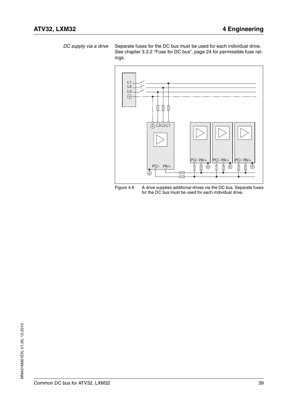*DC supply via a drive* Separate fuses for the DC bus must be used for each individual drive. See chapter [3.3.2 "Fuse for DC bus",](#page-23-0) page [24](#page-23-0) for permissible fuse ratings.



Figure 4.6 A drive supplies additional drives via the DC bus. Separate fuses for the DC bus must be used for each individual drive.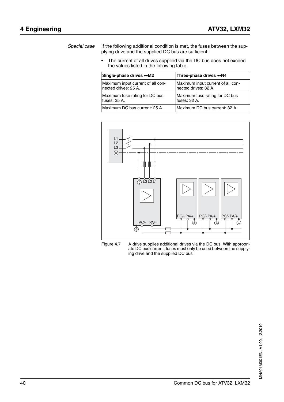*Special case* If the following additional condition is met, the fuses between the supplying drive and the supplied DC bus are sufficient:

> • The current of all drives supplied via the DC bus does not exceed the values listed in the following table.

| Single-phase drives •• M2         | <b>Three-phase drives ••N4</b>    |
|-----------------------------------|-----------------------------------|
| Maximum input current of all con- | Maximum input current of all con- |
| nected drives: 25 A.              | nected drives: 32 A.              |
| Maximum fuse rating for DC bus    | Maximum fuse rating for DC bus    |
| fuses: 25 A.                      | fuses: 32 A.                      |
| Maximum DC bus current: 25 A.     | IMaximum DC bus current: 32 A.    |



Figure 4.7 A drive supplies additional drives via the DC bus. With appropriate DC bus current, fuses must only be used between the supplying drive and the supplied DC bus.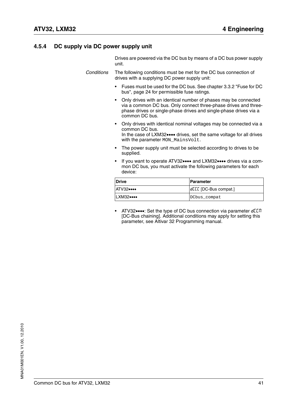#### **4.5.4 DC supply via DC power supply unit**

Drives are powered via the DC bus by means of a DC bus power supply unit.

- *Conditions* The following conditions must be met for the DC bus connection of drives with a supplying DC power supply unit:
	- Fuses must be used for the DC bus. See chapter [3.3.2 "Fuse for DC](#page-23-0)  [bus",](#page-23-0) page [24](#page-23-0) for permissible fuse ratings.
	- Only drives with an identical number of phases may be connected via a common DC bus. Only connect three-phase drives and threephase drives or single-phase drives and single-phase drives via a common DC bus.
	- Only drives with identical nominal voltages may be connected via a common DC bus. In the case of LXM32•••• drives, set the same voltage for all drives with the parameter MON\_MainsVolt.
	- The power supply unit must be selected according to drives to be supplied.
	- If you want to operate ATV32•••• and LXM32•••• drives via a common DC bus, you must activate the following parameters for each device:

| <b>IDrive</b> | <b>I Parameter</b>     |
|---------------|------------------------|
| <b>ATV32</b>  | della [DC-Bus compat.] |
| <b>LXM32</b>  | DCbus compat           |

• ATV32••••: Set the type of DC bus connection via parameter dELM [DC-Bus chaining]. Additional conditions may apply for setting this parameter, see Altivar 32 Programming manual.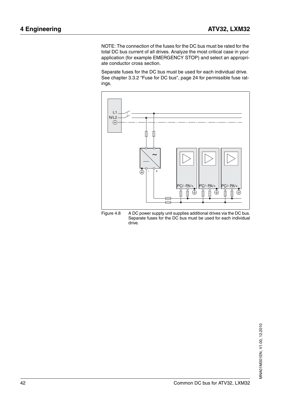NOTE: The connection of the fuses for the DC bus must be rated for the total DC bus current of all drives. Analyze the most critical case in your application (for example EMERGENCY STOP) and select an appropriate conductor cross section.

Separate fuses for the DC bus must be used for each individual drive. See chapter [3.3.2 "Fuse for DC bus",](#page-23-0) page [24](#page-23-0) for permissible fuse ratings.



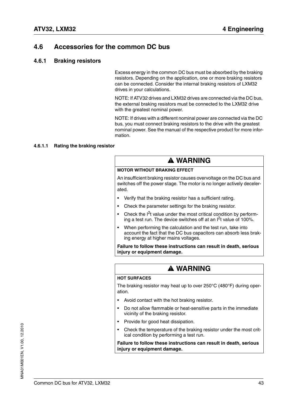#### **4.6 Accessories for the common DC bus**

#### <span id="page-42-1"></span>**4.6.1 Braking resistors**

Excess energy in the common DC bus must be absorbed by the braking resistors. Depending on the application, one or more braking resistors can be connected. Consider the internal braking resistors of LXM32 drives in your calculations.

NOTE: If ATV32 drives and LXM32 drives are connected via the DC bus, the external braking resistors must be connected to the LXM32 drive with the greatest nominal power.

NOTE: If drives with a different nominal power are connected via the DC bus, you must connect braking resistors to the drive with the greatest nominal power. See the manual of the respective product for more information.

#### <span id="page-42-0"></span>**4.6.1.1 Rating the braking resistor**

## **@ WARNING**

#### **MOTOR WITHOUT BRAKING EFFECT**

An insufficient braking resistor causes overvoltage on the DC bus and switches off the power stage. The motor is no longer actively decelerated.

- Verify that the braking resistor has a sufficient rating.
- Check the parameter settings for the braking resistor.
- Check the  $I<sup>2</sup>t$  value under the most critical condition by performing a test run. The device switches off at an  $1<sup>2</sup>$ t value of 100%.
- When performing the calculation and the test run, take into account the fact that the DC bus capacitors can absorb less braking energy at higher mains voltages.

**Failure to follow these instructions can result in death, serious injury or equipment damage.**

## **@ WARNING**

#### **HOT SURFACES**

The braking resistor may heat up to over 250°C (480°F) during operation.

- Avoid contact with the hot braking resistor.
- Do not allow flammable or heat-sensitive parts in the immediate vicinity of the braking resistor.
- Provide for good heat dissipation.
- Check the temperature of the braking resistor under the most critical condition by performing a test run.

**Failure to follow these instructions can result in death, serious injury or equipment damage.**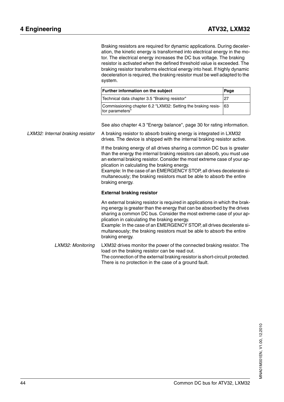Braking resistors are required for dynamic applications. During deceleration, the kinetic energy is transformed into electrical energy in the motor. The electrical energy increases the DC bus voltage. The braking resistor is activated when the defined threshold value is exceeded. The braking resistor transforms electrical energy into heat. If highly dynamic deceleration is required, the braking resistor must be well adapted to the system.

| <b>Further information on the subject</b>                                          | Page |
|------------------------------------------------------------------------------------|------|
| Technical data chapter 3.5 "Braking resistor"                                      | 27   |
| Commissioning chapter 6.2 "LXM32: Setting the braking resis- 63<br>tor parameters" |      |

See also chapter [4.3 "Energy balance"](#page-29-0), page [30](#page-29-0) for rating information.

*LXM32: Internal braking resistor* A braking resistor to absorb braking energy is integrated in LXM32 drives. The device is shipped with the internal braking resistor active.

> If the braking energy of all drives sharing a common DC bus is greater than the energy the internal braking resistors can absorb, you must use an external braking resistor. Consider the most extreme case of your application in calculating the braking energy.

> Example: In the case of an EMERGENCY STOP, all drives decelerate simultaneously; the braking resistors must be able to absorb the entire braking energy.

#### **External braking resistor**

An external braking resistor is required in applications in which the braking energy is greater than the energy that can be absorbed by the drives sharing a common DC bus. Consider the most extreme case of your application in calculating the braking energy.

Example: In the case of an EMERGENCY STOP, all drives decelerate simultaneously; the braking resistors must be able to absorb the entire braking energy.

<span id="page-43-0"></span>*LXM32: Monitoring* LXM32 drives monitor the power of the connected braking resistor. The load on the braking resistor can be read out. The connection of the external braking resistor is short-circuit protected. There is no protection in the case of a ground fault.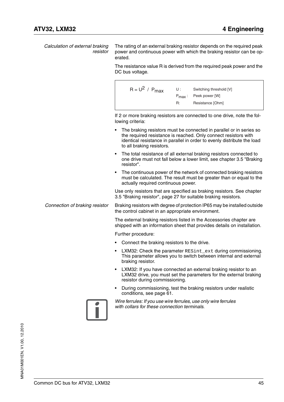<span id="page-44-0"></span>

| Calculation of external braking | The rating of an external braking resistor depends on the required peak<br>resistor power and continuous power with which the braking resistor can be op-<br>erated. |
|---------------------------------|----------------------------------------------------------------------------------------------------------------------------------------------------------------------|
|---------------------------------|----------------------------------------------------------------------------------------------------------------------------------------------------------------------|

The resistance value R is derived from the required peak power and the DC bus voltage.

$$
R = U2 / Pmax
$$
 U : Switching threshold [V]  
\n
$$
Pmax : Peek power [W]
$$
  
\nR: Resistance [Ohm]

If 2 or more braking resistors are connected to one drive, note the following criteria:

- The braking resistors must be connected in parallel or in series so the required resistance is reached. Only connect resistors with identical resistance in parallel in order to evenly distribute the load to all braking resistors.
- The total resistance of all external braking resistors connected to one drive must not fall below a lower limit, see chapter [3.5 "Braking](#page-26-0)  [resistor"](#page-26-0).
- The continuous power of the network of connected braking resistors must be calculated. The result must be greater than or equal to the actually required continuous power.

Use only resistors that are specified as braking resistors. See chapter [3.5 "Braking resistor"](#page-26-0), page [27](#page-26-0) for suitable braking resistors.

*Connection of braking resistor* Braking resistors with degree of protection IP65 may be installed outside the control cabinet in an appropriate environment.

> The external braking resistors listed in the Accessories chapter are shipped with an information sheet that provides details on installation.

Further procedure:

- Connect the braking resistors to the drive.
- LXM32: Check the parameter RESint ext during commissioning. This parameter allows you to switch between internal and external braking resistor.
- LXM32: If you have connected an external braking resistor to an LXM32 drive, you must set the parameters for the external braking resistor during commissioning.
- During commissioning, test the braking resistors under realistic conditions, see page [61](#page-60-0).



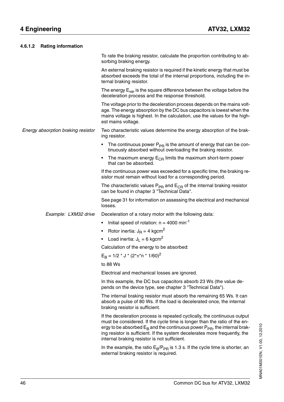| 4.6.1.2 | <b>Rating information</b>          |                                                                                                                                                                                                                                                                                                                                                                          |
|---------|------------------------------------|--------------------------------------------------------------------------------------------------------------------------------------------------------------------------------------------------------------------------------------------------------------------------------------------------------------------------------------------------------------------------|
|         |                                    | To rate the braking resistor, calculate the proportion contributing to ab-<br>sorbing braking energy.                                                                                                                                                                                                                                                                    |
|         |                                    | An external braking resistor is required if the kinetic energy that must be<br>absorbed exceeds the total of the internal proportions, including the in-<br>ternal braking resistor.                                                                                                                                                                                     |
|         |                                    | The energy $E_{var}$ is the square difference between the voltage before the<br>deceleration process and the response threshold.                                                                                                                                                                                                                                         |
|         |                                    | The voltage prior to the deceleration process depends on the mains volt-<br>age. The energy absorption by the DC bus capacitors is lowest when the<br>mains voltage is highest. In the calculation, use the values for the high-<br>est mains voltage.                                                                                                                   |
|         | Energy absorption braking resistor | Two characteristic values determine the energy absorption of the brak-<br>ing resistor.                                                                                                                                                                                                                                                                                  |
|         |                                    | • The continuous power P <sub>PR</sub> is the amount of energy that can be con-<br>tinuously absorbed without overloading the braking resistor.                                                                                                                                                                                                                          |
|         |                                    | • The maximum energy $E_{CR}$ limits the maximum short-term power<br>that can be absorbed.                                                                                                                                                                                                                                                                               |
|         |                                    | If the continuous power was exceeded for a specific time, the braking re-<br>sistor must remain without load for a corresponding period.                                                                                                                                                                                                                                 |
|         |                                    | The characteristic values $P_{PR}$ and $E_{CR}$ of the internal braking resistor<br>can be found in chapter 3 "Technical Data".                                                                                                                                                                                                                                          |
|         |                                    | See page 31 for information on assessing the electrical and mechanical<br>losses.                                                                                                                                                                                                                                                                                        |
|         | Example: LXM32 drive               | Deceleration of a rotary motor with the following data:                                                                                                                                                                                                                                                                                                                  |
|         |                                    | Initial speed of rotation: $n = 4000$ min <sup>-1</sup><br>٠                                                                                                                                                                                                                                                                                                             |
|         |                                    | Rotor inertia: $J_B = 4$ kgcm <sup>2</sup>                                                                                                                                                                                                                                                                                                                               |
|         |                                    | Load inertia: $J_1 = 6$ kgcm <sup>2</sup>                                                                                                                                                                                                                                                                                                                                |
|         |                                    | Calculation of the energy to be absorbed:                                                                                                                                                                                                                                                                                                                                |
|         |                                    | $E_B = 1/2 * J * (2 * \pi * n * 1/60)^2$                                                                                                                                                                                                                                                                                                                                 |
|         |                                    | to 88 Ws                                                                                                                                                                                                                                                                                                                                                                 |
|         |                                    | Electrical and mechanical losses are ignored.                                                                                                                                                                                                                                                                                                                            |
|         |                                    | In this example, the DC bus capacitors absorb 23 Ws (the value de-<br>pends on the device type, see chapter 3 "Technical Data").                                                                                                                                                                                                                                         |
|         |                                    | The internal braking resistor must absorb the remaining 65 Ws. It can<br>absorb a pulse of 80 Ws. If the load is decelerated once, the internal<br>braking resistor is sufficient.                                                                                                                                                                                       |
|         |                                    | If the deceleration process is repeated cyclically, the continuous output<br>must be considered. If the cycle time is longer than the ratio of the en-<br>ergy to be absorbed $E_B$ and the continuous power $P_{PR}$ , the internal brak-<br>ing resistor is sufficient. If the system decelerates more frequently, the<br>internal braking resistor is not sufficient. |
|         |                                    | In the example, the ratio $E_B/P_{PR}$ is 1.3 s. If the cycle time is shorter, an<br>external braking resistor is required.                                                                                                                                                                                                                                              |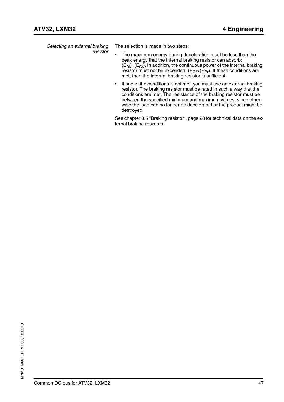*Selecting an external braking resistor*

The selection is made in two steps:

- The maximum energy during deceleration must be less than the peak energy that the internal braking resistor can absorb:  $(E<sub>Di</sub>)$  <  $(E<sub>Cr</sub>)$ . In addition, the continuous power of the internal braking resistor must not be exceeded:  $(P_C) < (P_P)$ . If these conditions are met, then the internal braking resistor is sufficient.
- If one of the conditions is not met, you must use an external braking resistor. The braking resistor must be rated in such a way that the conditions are met. The resistance of the braking resistor must be between the specified minimum and maximum values, since otherwise the load can no longer be decelerated or the product might be destroyed.

See chapter [3.5 "Braking resistor"](#page-26-0), page [28](#page-27-0) for technical data on the external braking resistors.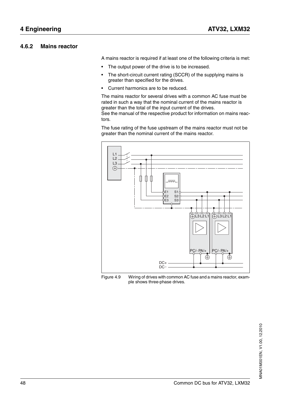#### <span id="page-47-0"></span>**4.6.2 Mains reactor**

A mains reactor is required if at least one of the following criteria is met:

- The output power of the drive is to be increased.
- The short-circuit current rating (SCCR) of the supplying mains is greater than specified for the drives.
- Current harmonics are to be reduced.

The mains reactor for several drives with a common AC fuse must be rated in such a way that the nominal current of the mains reactor is greater than the total of the input current of the drives. See the manual of the respective product for information on mains reactors.

The fuse rating of the fuse upstream of the mains reactor must not be greater than the nominal current of the mains reactor.



Figure 4.9 Wiring of drives with common AC fuse and a mains reactor, example shows three-phase drives.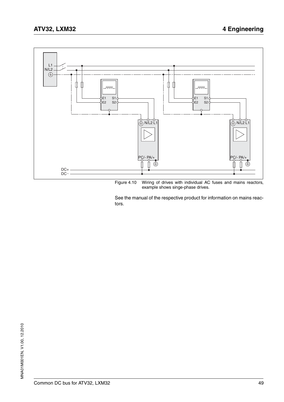

example shows singe-phase drives.

See the manual of the respective product for information on mains reactors.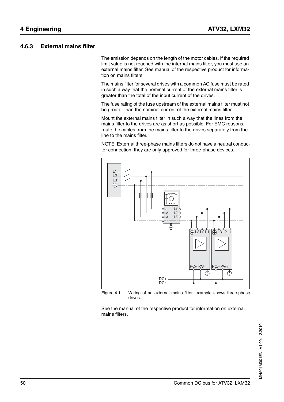#### <span id="page-49-0"></span>**4.6.3 External mains filter**

The emission depends on the length of the motor cables. If the required limit value is not reached with the internal mains filter, you must use an external mains filter. See manual of the respective product for information on mains filters.

The mains filter for several drives with a common AC fuse must be rated in such a way that the nominal current of the external mains filter is greater than the total of the input current of the drives.

The fuse rating of the fuse upstream of the external mains filter must not be greater than the nominal current of the external mains filter.

Mount the external mains filter in such a way that the lines from the mains filter to the drives are as short as possible. For EMC reasons, route the cables from the mains filter to the drives separately from the line to the mains filter.

NOTE: External three-phase mains filters do not have a neutral conductor connection; they are only approved for three-phase devices.



Figure 4.11 Wiring of an external mains filter, example shows three-phase drives.

See the manual of the respective product for information on external mains filters.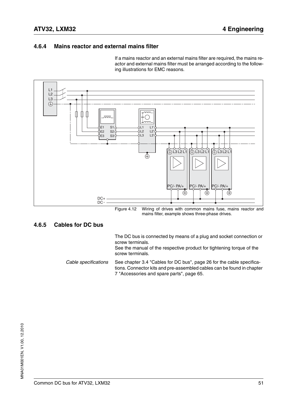#### **4.6.4 Mains reactor and external mains filter**

If a mains reactor and an external mains filter are required, the mains reactor and external mains filter must be arranged according to the following illustrations for EMC reasons.



Figure 4.12 Wiring of drives with common mains fuse, mains reactor and mains filter, example shows three-phase drives.

#### <span id="page-50-0"></span>**4.6.5 Cables for DC bus**

The DC bus is connected by means of a plug and socket connection or screw terminals.

See the manual of the respective product for tightening torque of the screw terminals.

*Cable specifications* See chapter [3.4 "Cables for DC bus"](#page-25-0), page [26](#page-25-0) for the cable specifications. Connector kits and pre-assembled cables can be found in chapter [7 "Accessories and spare parts"](#page-64-0), page [65.](#page-64-0)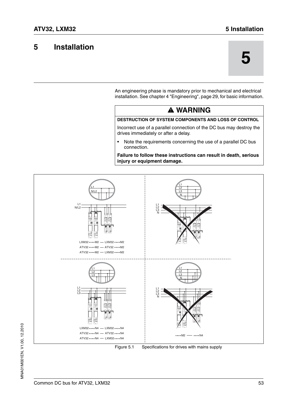## **5 Installation**

An engineering phase is mandatory prior to mechanical and electrical installation. See chapter [4 "Engineering",](#page-28-0) page [29,](#page-28-0) for basic information.

## **@ WARNING**

#### **DESTRUCTION OF SYSTEM COMPONENTS AND LOSS OF CONTROL**

Incorrect use of a parallel connection of the DC bus may destroy the drives immediately or after a delay.

• Note the requirements concerning the use of a parallel DC bus connection.

**Failure to follow these instructions can result in death, serious injury or equipment damage.**

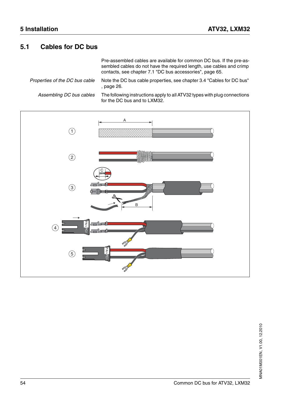## <span id="page-53-0"></span>**5.1 Cables for DC bus**

Pre-assembled cables are available for common DC bus. If the pre-assembled cables do not have the required length, use cables and crimp contacts, see chapter [7.1 "DC bus accessories",](#page-64-1) page [65](#page-64-1).

*Properties of the DC bus cable* Note the DC bus cable properties, see chapter [3.4 "Cables for DC bus"](#page-25-0)  , page [26](#page-25-0).

*Assembling DC bus cables* The following instructions apply to all ATV32 types with plug connections for the DC bus and to LXM32.

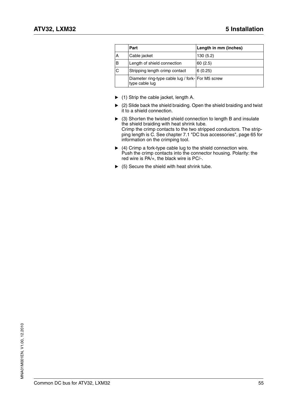|   | Part                                                                | Length in mm (inches) |
|---|---------------------------------------------------------------------|-----------------------|
| А | Cable jacket                                                        | 130(5.2)              |
| в | Length of shield connection                                         | 60(2.5)               |
| С | Stripping length crimp contact                                      | 6(0.25)               |
|   | Diameter ring-type cable lug / fork- For M5 screw<br>type cable lug |                       |

- $\blacktriangleright$  (1) Strip the cable jacket, length A.
- $\triangleright$  (2) Slide back the shield braiding. Open the shield braiding and twist it to a shield connection.
- $\triangleright$  (3) Shorten the twisted shield connection to length B and insulate the shield braiding with heat shrink tube. Crimp the crimp contacts to the two stripped conductors. The stripping length is C. See chapter [7.1 "DC bus accessories"](#page-64-1), page [65](#page-64-1) for information on the crimping tool.
- (4) Crimp a fork-type cable lug to the shield connection wire. Push the crimp contacts into the connector housing. Polarity: the red wire is PA/+, the black wire is PC/-.
- $\blacktriangleright$  (5) Secure the shield with heat shrink tube.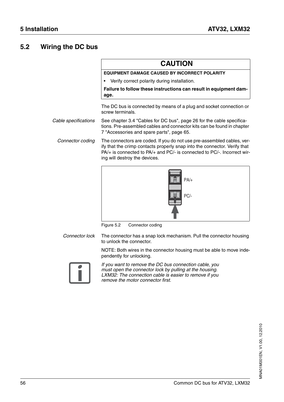## <span id="page-55-0"></span>**5.2 Wiring the DC bus**

|                      | <b>CAUTION</b>                                                                                                                                                                                                                                                  |
|----------------------|-----------------------------------------------------------------------------------------------------------------------------------------------------------------------------------------------------------------------------------------------------------------|
|                      | <b>EQUIPMENT DAMAGE CAUSED BY INCORRECT POLARITY</b>                                                                                                                                                                                                            |
|                      | Verify correct polarity during installation.                                                                                                                                                                                                                    |
|                      | Failure to follow these instructions can result in equipment dam-<br>age.                                                                                                                                                                                       |
|                      | The DC bus is connected by means of a plug and socket connection or<br>screw terminals.                                                                                                                                                                         |
| Cable specifications | See chapter 3.4 "Cables for DC bus", page 26 for the cable specifica-<br>tions. Pre-assembled cables and connector kits can be found in chapter<br>7 "Accessories and spare parts", page 65.                                                                    |
| Connector coding     | The connectors are coded. If you do not use pre-assembled cables, ver-<br>ify that the crimp contacts properly snap into the connector. Verify that<br>PA/+ is connected to PA/+ and PC/- is connected to PC/-. Incorrect wir-<br>ing will destroy the devices. |
|                      |                                                                                                                                                                                                                                                                 |

<span id="page-55-1"></span>

Figure 5.2 Connector coding

<span id="page-55-2"></span>

*Connector lock* The connector has a snap lock mechanism. Pull the connector housing to unlock the connector.

> NOTE: Both wires in the connector housing must be able to move independently for unlocking.



*If you want to remove the DC bus connection cable, you must open the connector lock by pulling at the housing. LXM32: The connection cable is easier to remove if you remove the motor connector first.*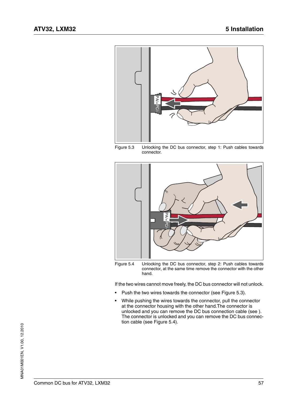

Figure 5.3 Unlocking the DC bus connector, step 1: Push cables towards connector.

<span id="page-56-0"></span>

Figure 5.4 Unlocking the DC bus connector, step 2: Push cables towards connector, at the same time remove the connector with the other hand.

<span id="page-56-1"></span>If the two wires cannot move freely, the DC bus connector will not unlock.

- Push the two wires towards the connector (see [Figure 5.3\)](#page-56-0).
- While pushing the wires towards the connector, pull the connector at the connector housing with the other hand.The connector is unlocked and you can remove the DC bus connection cable (see ). The connector is unlocked and you can remove the DC bus connection cable (see Figure 5.4).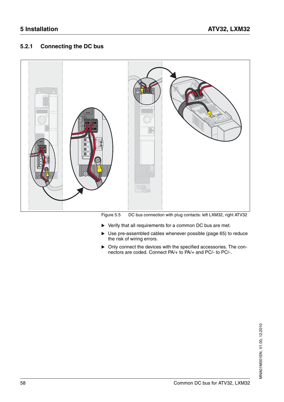### **5.2.1 Connecting the DC bus**



Figure 5.5 DC bus connection with plug contacts: left LXM32, right ATV32

- Verify that all requirements for a common DC bus are met.
- Use pre-assembled cables whenever possible (page [65\)](#page-64-1) to reduce the risk of wiring errors.
- Only connect the devices with the specified accessories. The connectors are coded. Connect PA/+ to PA/+ and PC/- to PC/-.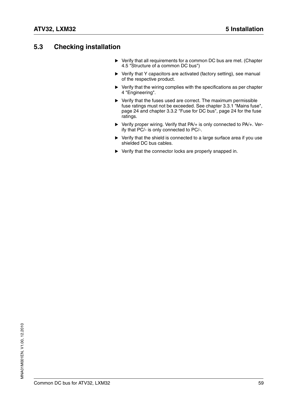#### <span id="page-58-0"></span>**5.3 Checking installation**

- Verify that all requirements for a common DC bus are met. (Chapter [4.5 "Structure of a common DC bus"\)](#page-33-0)
- Verify that Y capacitors are activated (factory setting), see manual of the respective product.
- $\triangleright$  Verify that the wiring complies with the specifications as per chapter [4 "Engineering"](#page-28-0).
- Verify that the fuses used are correct. The maximum permissible fuse ratings must not be exceeded. See chapter [3.3.1 "Mains fuse"](#page-23-1), page [24](#page-23-1) and chapter [3.3.2 "Fuse for DC bus",](#page-23-0) page [24](#page-23-0) for the fuse ratings.
- ▶ Verify proper wiring. Verify that PA/+ is only connected to PA/+. Verify that PC/- is only connected to PC/-.
- Verify that the shield is connected to a large surface area if you use shielded DC bus cables.
- Verify that the connector locks are properly snapped in.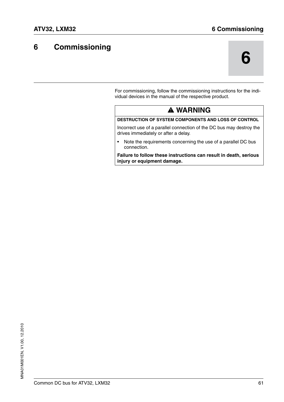# <span id="page-60-0"></span>**6 6 Commissioning**



For commissioning, follow the commissioning instructions for the individual devices in the manual of the respective product.

## **@ WARNING**

#### **DESTRUCTION OF SYSTEM COMPONENTS AND LOSS OF CONTROL**

Incorrect use of a parallel connection of the DC bus may destroy the drives immediately or after a delay.

• Note the requirements concerning the use of a parallel DC bus connection.

**Failure to follow these instructions can result in death, serious injury or equipment damage.**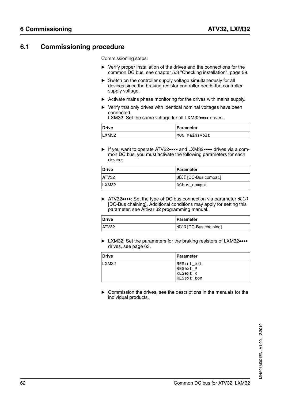#### <span id="page-61-0"></span>**6.1 Commissioning procedure**

Commissioning steps:

- Verify proper installation of the drives and the connections for the common DC bus, see chapter [5.3 "Checking installation",](#page-58-0) page [59](#page-58-0).
- Switch on the controller supply voltage simultaneously for all devices since the braking resistor controller needs the controller supply voltage.
- Activate mains phase monitoring for the drives with mains supply.
- Verify that only drives with identical nominal voltages have been connected.

LXM32: Set the same voltage for all LXM32•••• drives.

| <b>Drive</b> | <b>IParameter</b> |
|--------------|-------------------|
| LXM32        | MON MainsVolt     |

 If you want to operate ATV32•••• and LXM32•••• drives via a common DC bus, you must activate the following parameters for each device:

| <b>Drive</b> | l Parameter            |
|--------------|------------------------|
| ATV32        | delle (DC-Bus compat.) |
| LXM32        | DCbus_compat           |

▶ ATV32••••: Set the type of DC bus connection via parameter dELT [DC-Bus chaining]. Additional conditions may apply for setting this parameter, see Altivar 32 programming manual.

| <b>IDrive</b> | <b>IParameter</b>      |
|---------------|------------------------|
| IATV32        | decn [DC-Bus chaining] |

► LXM32: Set the parameters for the braking resistors of LXM32•••• drives, see page [63.](#page-62-1)

| <b>Drive</b> | l Parameter                                      |
|--------------|--------------------------------------------------|
| LXM32        | RESint ext<br>RESext P<br>RESext R<br>RESext ton |

 Commission the drives, see the descriptions in the manuals for the individual products.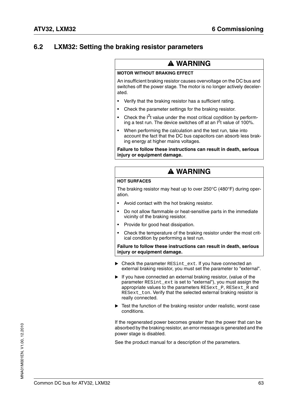## <span id="page-62-1"></span><span id="page-62-0"></span>**6.2 LXM32: Setting the braking resistor parameters**

#### **@ WARNING**

#### **MOTOR WITHOUT BRAKING EFFECT**

An insufficient braking resistor causes overvoltage on the DC bus and switches off the power stage. The motor is no longer actively decelerated.

- Verify that the braking resistor has a sufficient rating.
- Check the parameter settings for the braking resistor.
- Check the  $I<sup>2</sup>t$  value under the most critical condition by performing a test run. The device switches off at an  $I<sup>2</sup>t$  value of 100%.
- When performing the calculation and the test run, take into account the fact that the DC bus capacitors can absorb less braking energy at higher mains voltages.

**Failure to follow these instructions can result in death, serious injury or equipment damage.**

## **@ WARNING**

#### **HOT SURFACES**

The braking resistor may heat up to over 250°C (480°F) during operation.

- Avoid contact with the hot braking resistor.
- Do not allow flammable or heat-sensitive parts in the immediate vicinity of the braking resistor.
- Provide for good heat dissipation.
- Check the temperature of the braking resistor under the most critical condition by performing a test run.

**Failure to follow these instructions can result in death, serious injury or equipment damage.**

- Check the parameter RESint\_ext. If you have connected an external braking resistor, you must set the parameter to "external".
- If you have connected an external braking resistor, (value of the parameter RESint\_ext is set to "external"), you must assign the appropriate values to the parameters RESext\_P, RESext\_R and RESext\_ton. Verify that the selected external braking resistor is really connected.
- Test the function of the braking resistor under realistic, worst case conditions.

If the regenerated power becomes greater than the power that can be absorbed by the braking resistor, an error message is generated and the power stage is disabled.

See the product manual for a description of the parameters.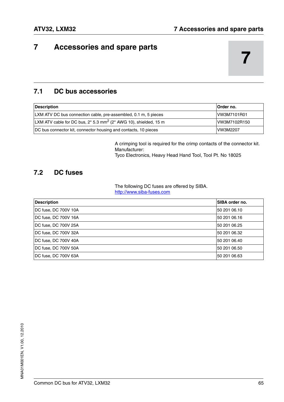## <span id="page-64-0"></span>**7 Accessories and spare parts**

## <span id="page-64-1"></span>**7.1 DC bus accessories**

| <b>Description</b>                                                           | Order no.           |
|------------------------------------------------------------------------------|---------------------|
| LXM ATV DC bus connection cable, pre-assembled, 0.1 m, 5 pieces              | <b>IVW3M7101R01</b> |
| LXM ATV cable for DC bus, 2* 5.3 mm <sup>2</sup> (2* AWG 10), shielded, 15 m | IVW3M7102R150       |
| DC bus connector kit, connector housing and contacts, 10 pieces              | <b>VW3M2207</b>     |

A crimping tool is required for the crimp contacts of the connector kit. Manufacturer: Tyco Electronics, Heavy Head Hand Tool, Tool Pt. No 18025

### **7.2 DC fuses**

The following DC fuses are offered by SIBA. http://www.siba-fuses.com

| <b>Description</b>    | SIBA order no. |
|-----------------------|----------------|
| IDC fuse, DC 700V 10A | 50 201 06.10   |
| IDC fuse, DC 700V 16A | 50 201 06.16   |
| IDC fuse, DC 700V 25A | 50 201 06.25   |
| IDC fuse, DC 700V 32A | 50 201 06.32   |
| IDC fuse, DC 700V 40A | 50 201 06.40   |
| IDC fuse, DC 700V 50A | 50 201 06.50   |
| DC fuse, DC 700V 63A  | 50 201 06.63   |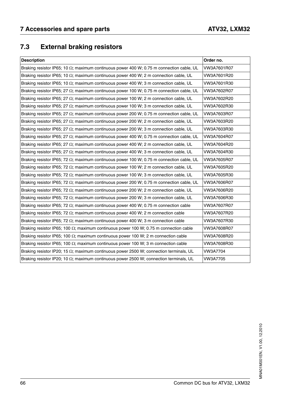## **7.3 External braking resistors**

| <b>Description</b>                                                                               | Order no.   |
|--------------------------------------------------------------------------------------------------|-------------|
| Braking resistor IP65; 10 $\Omega$ ; maximum continuous power 400 W; 0.75 m connection cable, UL | VW3A7601R07 |
| Braking resistor IP65; 10 $\Omega$ ; maximum continuous power 400 W; 2 m connection cable, UL    | VW3A7601R20 |
| Braking resistor IP65; 10 $\Omega$ ; maximum continuous power 400 W; 3 m connection cable, UL    | VW3A7601R30 |
| Braking resistor IP65; 27 $\Omega$ ; maximum continuous power 100 W; 0.75 m connection cable, UL | VW3A7602R07 |
| Braking resistor IP65; 27 $\Omega$ ; maximum continuous power 100 W; 2 m connection cable, UL    | VW3A7602R20 |
| Braking resistor IP65; 27 $\Omega$ ; maximum continuous power 100 W; 3 m connection cable, UL    | VW3A7602R30 |
| Braking resistor IP65; 27 $\Omega$ ; maximum continuous power 200 W; 0.75 m connection cable, UL | VW3A7603R07 |
| Braking resistor IP65; 27 $\Omega$ ; maximum continuous power 200 W; 2 m connection cable, UL    | VW3A7603R20 |
| Braking resistor IP65; 27 $\Omega$ ; maximum continuous power 200 W; 3 m connection cable, UL    | VW3A7603R30 |
| Braking resistor IP65; 27 $\Omega$ ; maximum continuous power 400 W; 0.75 m connection cable, UL | VW3A7604R07 |
| Braking resistor IP65; 27 $\Omega$ ; maximum continuous power 400 W; 2 m connection cable, UL    | VW3A7604R20 |
| Braking resistor IP65; 27 $\Omega$ ; maximum continuous power 400 W; 3 m connection cable, UL    | VW3A7604R30 |
| Braking resistor IP65; 72 $\Omega$ ; maximum continuous power 100 W; 0.75 m connection cable, UL | VW3A7605R07 |
| Braking resistor IP65; 72 $\Omega$ ; maximum continuous power 100 W; 2 m connection cable, UL    | VW3A7605R20 |
| Braking resistor IP65; 72 $\Omega$ ; maximum continuous power 100 W; 3 m connection cable, UL    | VW3A7605R30 |
| Braking resistor IP65; 72 $\Omega$ ; maximum continuous power 200 W; 0.75 m connection cable, UL | VW3A7606R07 |
| Braking resistor IP65; 72 (2; maximum continuous power 200 W; 2 m connection cable, UL           | VW3A7606R20 |
| Braking resistor IP65; 72 $\Omega$ ; maximum continuous power 200 W; 3 m connection cable, UL    | VW3A7606R30 |
| Braking resistor IP65; 72 $\Omega$ ; maximum continuous power 400 W; 0.75 m connection cable     | VW3A7607R07 |
| Braking resistor IP65; 72 $\Omega$ ; maximum continuous power 400 W; 2 m connection cable        | VW3A7607R20 |
| Braking resistor IP65; 72 $\Omega$ ; maximum continuous power 400 W; 3 m connection cable        | VW3A7607R30 |
| Braking resistor IP65; 100 $\Omega$ ; maximum continuous power 100 W; 0.75 m connection cable    | VW3A7608R07 |
| Braking resistor IP65; 100 $\Omega$ ; maximum continuous power 100 W; 2 m connection cable       | VW3A7608R20 |
| Braking resistor IP65; 100 $\Omega$ ; maximum continuous power 100 W; 3 m connection cable       | VW3A7608R30 |
| Braking resistor IP20; 15 $\Omega$ ; maximum continuous power 2500 W; connection terminals, UL   | VW3A7704    |
| Braking resistor IP20; 10 $\Omega$ ; maximum continuous power 2500 W; connection terminals, UL   | VW3A7705    |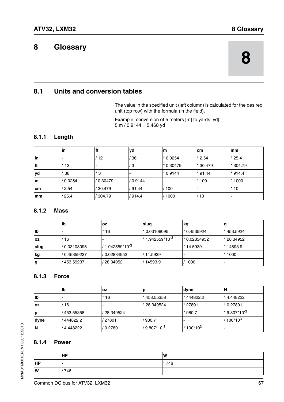## <span id="page-66-0"></span>**8 8 Glossary**

## **8.1 Units and conversion tables**

The value in the specified unit (left column) is calculated for the desired unit (top row) with the formula (in the field).

Example: conversion of 5 meters [m] to yards [yd] 5 m /  $0.9144 = 5.468$  yd

#### **8.1.1 Length**

|     | lin      | l ft     | yd       | m          | <b>cm</b> | <b>Imm</b> |
|-----|----------|----------|----------|------------|-----------|------------|
| in  | ۰        | 12       | 36       | $*0.0254$  | $*2.54$   | $*25.4$    |
| ft  | $*12$    | ۰        | ΄3       | l* 0.30479 | $*30.479$ | $*304.79$  |
| yd  | $*36$    | * 3      |          | $*0.9144$  | $*91.44$  | $*914.4$   |
| m   | / 0.0254 | /0.30479 | / 0.9144 |            | $*100$    | $*1000$    |
| cm  | /2.54    | / 30.479 | '91.44   | 100        |           | $^*$ 10    |
| lmm | /25.4    | 304.79   | 914.4    | 1000       | / 10      |            |

#### **8.1.2 Mass**

|      | lb           | l OZ               | slug                         | kg            | g           |
|------|--------------|--------------------|------------------------------|---------------|-------------|
| llb  |              | 16                 | 1* 0.03108095                | l* 0.4535924  | $*453.5924$ |
| l OZ | 16           |                    | 1* 1.942559*10 <sup>-3</sup> | l* 0.02834952 | * 28.34952  |
| slug | / 0.03108095 | $1.942559*10^{-3}$ |                              | * 14.5939     | $*14593.9$  |
| kg   | / 0.45359237 | 0.02834952         | 14.5939                      |               | $*1000$     |
| g    | 453.59237 /  | 28.34952           | 14593.9                      | 1000          | -           |

#### **8.1.3 Force**

|      | lb        | l OZ      |                          | <b>dyne</b> | N                            |
|------|-----------|-----------|--------------------------|-------------|------------------------------|
| llb  | -         | * 16      | *453.55358               | *444822.2   | * 4.448222                   |
| loz  | 16        |           | * 28.349524              | * 27801     | l* 0.27801                   |
| p    | 453.55358 | 28.349524 |                          | $*980.7$    | $\pm$ 9.807*10 <sup>-3</sup> |
| dyne | 444822.2  | 27801     | 980.7                    |             | / 100*10 <sup>3</sup>        |
| ΙN   | 4.448222  | 0.27801   | / 9.807*10 <sup>-3</sup> | $*100*10^3$ |                              |

#### **8.1.4 Power**

|              | <b>HP</b>                | lW     |
|--------------|--------------------------|--------|
| <b>HP</b>    | $\overline{\phantom{0}}$ | $*746$ |
| $\mathsf{w}$ | 746                      |        |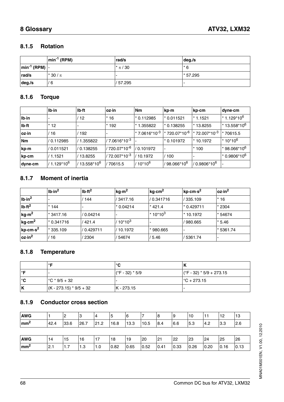#### **8.1.5 Rotation**

|                                                               | $\left  \text{min}^{\text{-1}} \right $ (RPM) | rad/s     | deg./s   |
|---------------------------------------------------------------|-----------------------------------------------|-----------|----------|
| $\left  \text{min}^{-1} \right $ (RPM) $\left  \cdot \right $ |                                               | $*\pi/30$ | $^*6$    |
| rad/s                                                         | $\frac{1}{2}$ 30 / $\pi$                      |           | * 57.295 |
| deg./s                                                        | / 6                                           | /57.295   |          |

## **8.1.6 Torque**

|           | $Ib\cdot in$ | lb-ft                  | loz∙in                    | <b>Nm</b>                            | kp⋅m                        | kp⋅cm                       | dyne∙cm                   |
|-----------|--------------|------------------------|---------------------------|--------------------------------------|-----------------------------|-----------------------------|---------------------------|
| lb·in     |              | 12                     | $*16$                     | <sup>*</sup> 0.112985                | 1* 0.011521                 | $*1.1521$                   | $* 1.129 * 10^6$          |
| lb-ft     | $*12$        |                        | $*192$                    | * 1.355822                           | $*0.138255$                 | * 13.8255                   | l* 13.558*10 <sup>6</sup> |
| oz.in     | 16           | 192                    |                           | <sup>*</sup> 7.0616*10 <sup>-3</sup> | $\pm 720.07 \times 10^{-6}$ | $*$ 72.007*10 <sup>-3</sup> | 70615.5<br>$\star$        |
| <b>Nm</b> | l/ 0.112985  | 1.355822               | $/7.0616*10^{-3}$         |                                      | $*0.101972$                 | $*10.1972$                  | $*10*10^6$                |
| ∣kp⋅m     | l/ 0.011521  | / 0.138255             | / 720.07*10 <sup>-6</sup> | / 0.101972                           |                             | $*100$                      | * 98.066*10 <sup>6</sup>  |
| kp⋅cm     | / 1.1521     | 13.8255                | / 72.007*10 <sup>-3</sup> | 10.1972                              | 100                         |                             | $*0.9806*10^6$            |
| dyne∙cm   | $1.129*10^6$ | 13.558*10 <sup>6</sup> | 70615.5                   | $10*10^6$                            | / 98.066*10 <sup>6</sup>    | / 0.9806*10 <sup>6</sup>    |                           |

#### **8.1.7 Moment of inertia**

|                       | $lb \cdot in^2$ | Ib·ft <sup>2</sup> | kg·m <sup>2</sup> | $kg \cdot cm^2$         | kpcm·s <sup>2</sup> | oz.in <sup>2</sup> |
|-----------------------|-----------------|--------------------|-------------------|-------------------------|---------------------|--------------------|
| $Ib\cdot in^2$        |                 | 144                | 3417.16           | 0.341716                | / 335.109           | $*16$              |
| Ib·ft <sup>2</sup>    | $*144$          | -                  | $*0.04214$        | $*421.4$                | $*0.429711$         | * 2304             |
| kg·m <sup>2</sup>     | * 3417.16       | / 0.04214          |                   | $ *$ 10*10 <sup>3</sup> | $*10.1972$          | * 54674            |
| kg.cm <sup>2</sup>    | l* 0.341716     | 421.4              | $/$ 10*10 $^3$    |                         | 980.665             | $*5.46$            |
| ∣kp⋅cm⋅s <sup>2</sup> | $*335.109$      | / 0.429711         | 10.1972           | 980.665                 |                     | <u>5361.74</u>     |
| oz.in <sup>2</sup>    | 16              | 2304               | 54674             | 5.46                    | 5361.74             |                    |

#### **8.1.8 Temperature**

|     | ∘⊏                                                | $\sim$<br>ັ       |                            |
|-----|---------------------------------------------------|-------------------|----------------------------|
| ∘⊏  |                                                   | $(CF - 32) * 5/9$ | $(CF - 32) * 5/9 + 273.15$ |
| ∣°C | $\binom{6}{1}$ $\binom{6}{1}$ $\binom{9}{5}$ + 32 |                   | $\binom{6}{1}$ + 273.15    |
| ΙK  | $(K - 273.15) * 9/5 + 32$                         | $IK - 273.15$     |                            |

#### **8.1.9 Conductor cross section**

| <b>AWG</b>               |      | 2    | ıз   | <b>4</b> | 5    | <b>6</b> |      | 18   | 19   | 10   | 11   | 12   | 13   |
|--------------------------|------|------|------|----------|------|----------|------|------|------|------|------|------|------|
| $\mathsf{m}\mathsf{m}^2$ | 42.4 | 33.6 | 26.7 | 21.2     | 16.8 | 13.3     | 10.5 | 8.4  | 6.6  | 5.3  | 4.2  | 3.3  | 2.6  |
|                          |      |      |      |          |      |          |      |      |      |      |      |      |      |
| <b>AWG</b>               | 14   | 15   | 16   |          | 18   | 19       | 20   | 21   | 22   | 23   | 24   | 25   | 26   |
| ົ<br>mm <sup>2</sup>     | 2.1  | 1.7  | 1.3  | 1.0      | 0.82 | 0.65     | 0.52 | 0.41 | 0.33 | 0.26 | 0.20 | 0.16 | 0.13 |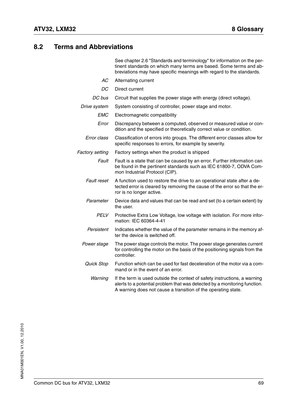#### <span id="page-68-0"></span>**8.2 Terms and Abbreviations**

See chapter [2.6 "Standards and terminology"](#page-12-0) for information on the pertinent standards on which many terms are based. Some terms and abbreviations may have specific meanings with regard to the standards.

- *AC* Alternating current
- *DC* Direct current
- *DC bus* Circuit that supplies the power stage with energy (direct voltage).
- *Drive system* System consisting of controller, power stage and motor.
	- *EMC* Electromagnetic compatibility
	- *Error* Discrepancy between a computed, observed or measured value or condition and the specified or theoretically correct value or condition.
- *Error class* Classification of errors into groups. The different error classes allow for specific responses to errors, for example by severity.
- <span id="page-68-1"></span>*Factory setting* Factory settings when the product is shipped
	- *Fault* Fault is a state that can be caused by an error. Further information can be found in the pertinent standards such as IEC 61800-7, ODVA Common Industrial Protocol (CIP).
	- *Fault reset* A function used to restore the drive to an operational state after a detected error is cleared by removing the cause of the error so that the error is no longer active.
	- *Parameter* Device data and values that can be read and set (to a certain extent) by the user.
		- **PELV** Protective Extra Low Voltage, low voltage with isolation. For more information: IEC 60364-4-41
	- *Persistent* Indicates whether the value of the parameter remains in the memory after the device is switched off.
	- *Power stage* The power stage controls the motor. The power stage generates current for controlling the motor on the basis of the positioning signals from the controller.
	- *Quick Stop* Function which can be used for fast deceleration of the motor via a command or in the event of an error.
		- *Warning* If the term is used outside the context of safety instructions, a warning alerts to a potential problem that was detected by a monitoring function. A warning does not cause a transition of the operating state.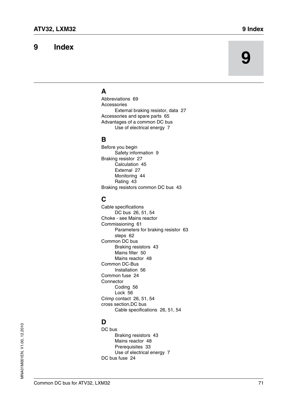#### **9 Index**

## **9**

## **A**

[Abbreviations 69](#page-68-0) Accessories [External braking resistor, data 27](#page-26-1) [Accessories and spare parts 65](#page-64-0) Advantages of a common DC bus [Use of electrical energy 7](#page-6-0)

#### **B**

Before you begin [Safety information 9](#page-8-0) [Braking resistor 27](#page-26-0) [Calculation 45](#page-44-0) [External 27](#page-26-1) [Monitoring 44](#page-43-0) [Rating 43](#page-42-0) [Braking resistors common DC bus 43](#page-42-1)

## **C**

Cable specifications [DC bus 26,](#page-25-0) [51,](#page-50-0) [54](#page-53-0) [Choke - see Mains reactor](#page-68-1) [Commissioning 61](#page-60-0) [Parameters for braking resistor 63](#page-62-0) [steps 62](#page-61-0) Common DC bus [Braking resistors 43](#page-42-1) [Mains filter 50](#page-49-0) [Mains reactor 48](#page-47-0) Common DC-Bus [Installation 56](#page-55-0) [Common fuse 24](#page-23-1) **Connector** [Coding 56](#page-55-1) [Lock 56](#page-55-2) [Crimp contact 26,](#page-25-0) [51,](#page-50-0) [54](#page-53-0) cross section,DC bus [Cable specifications 26,](#page-25-0) [51,](#page-50-0) [54](#page-53-0)

## **D**

DC bus [Braking resistors 43](#page-42-1) [Mains reactor 48](#page-47-0) [Prerequisites 33](#page-32-0) [Use of electrical energy 7](#page-6-0) [DC bus fuse 24](#page-23-0)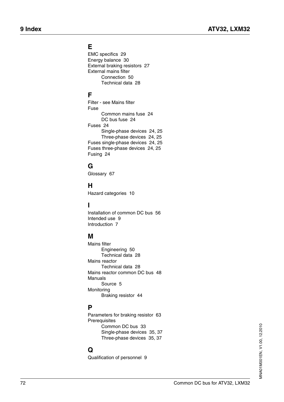## **E**

[EMC specifics 29](#page-28-1) [Energy balance 30](#page-29-1) [External braking resistors 27](#page-26-1) External mains filter [Connection 50](#page-49-0) [Technical data 28](#page-27-1)

#### **F**

[Filter - see Mains filter](#page-68-1) Fuse [Common mains fuse 24](#page-23-1) [DC bus fuse 24](#page-23-0) [Fuses 24](#page-23-2) [Single-phase devices 24,](#page-23-3) [25](#page-24-0) [Three-phase devices 24,](#page-23-4) [25](#page-24-1) [Fuses single-phase devices 24,](#page-23-3) [25](#page-24-0) [Fuses three-phase devices 24,](#page-23-4) [25](#page-24-1) [Fusing 24](#page-23-2)

### **G**

[Glossary 67](#page-66-0)

## **H**

[Hazard categories 10](#page-9-0)

## **I**

[Installation of common DC bus 56](#page-55-0) [Intended use 9](#page-8-1) [Introduction 7](#page-6-1)

#### **M**

Mains filter [Engineering 50](#page-49-0) [Technical data 28](#page-27-1) Mains reactor [Technical data 28](#page-27-0) [Mains reactor common DC bus 48](#page-47-0) Manuals [Source 5](#page-4-0) Monitoring [Braking resistor 44](#page-43-0)

## **P**

[Parameters for braking resistor 63](#page-62-0) Prerequisites [Common DC bus 33](#page-32-0) [Single-phase devices 35,](#page-34-0) [37](#page-36-0) [Three-phase devices 35,](#page-34-1) [37](#page-36-1)

## **Q**

[Qualification of personnel 9](#page-8-2)